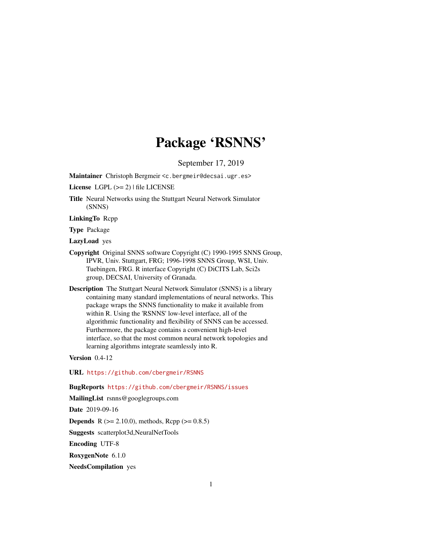# Package 'RSNNS'

September 17, 2019

<span id="page-0-0"></span>Maintainer Christoph Bergmeir <c.bergmeir@decsai.ugr.es>

License LGPL  $(>= 2)$  | file LICENSE

Title Neural Networks using the Stuttgart Neural Network Simulator (SNNS)

LinkingTo Rcpp

Type Package

LazyLoad yes

- Copyright Original SNNS software Copyright (C) 1990-1995 SNNS Group, IPVR, Univ. Stuttgart, FRG; 1996-1998 SNNS Group, WSI, Univ. Tuebingen, FRG. R interface Copyright (C) DiCITS Lab, Sci2s group, DECSAI, University of Granada.
- Description The Stuttgart Neural Network Simulator (SNNS) is a library containing many standard implementations of neural networks. This package wraps the SNNS functionality to make it available from within R. Using the 'RSNNS' low-level interface, all of the algorithmic functionality and flexibility of SNNS can be accessed. Furthermore, the package contains a convenient high-level interface, so that the most common neural network topologies and learning algorithms integrate seamlessly into R.

Version 0.4-12

URL <https://github.com/cbergmeir/RSNNS>

BugReports <https://github.com/cbergmeir/RSNNS/issues>

MailingList rsnns@googlegroups.com

Date 2019-09-16

**Depends** R ( $>= 2.10.0$ ), methods, Rcpp ( $>= 0.8.5$ )

Suggests scatterplot3d,NeuralNetTools

Encoding UTF-8

RoxygenNote 6.1.0

NeedsCompilation yes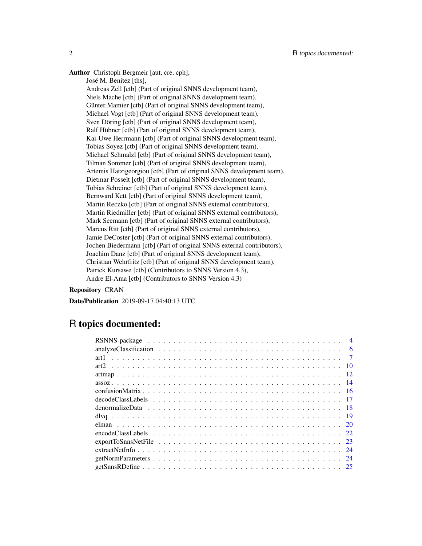Author Christoph Bergmeir [aut, cre, cph],

José M. Benítez [ths],

Andreas Zell [ctb] (Part of original SNNS development team), Niels Mache [ctb] (Part of original SNNS development team), Günter Mamier [ctb] (Part of original SNNS development team), Michael Vogt [ctb] (Part of original SNNS development team), Sven Döring [ctb] (Part of original SNNS development team), Ralf Hübner [ctb] (Part of original SNNS development team), Kai-Uwe Herrmann [ctb] (Part of original SNNS development team), Tobias Soyez [ctb] (Part of original SNNS development team), Michael Schmalzl [ctb] (Part of original SNNS development team), Tilman Sommer [ctb] (Part of original SNNS development team), Artemis Hatzigeorgiou [ctb] (Part of original SNNS development team), Dietmar Posselt [ctb] (Part of original SNNS development team), Tobias Schreiner [ctb] (Part of original SNNS development team), Bernward Kett [ctb] (Part of original SNNS development team), Martin Reczko [ctb] (Part of original SNNS external contributors), Martin Riedmiller [ctb] (Part of original SNNS external contributors), Mark Seemann [ctb] (Part of original SNNS external contributors), Marcus Ritt [ctb] (Part of original SNNS external contributors), Jamie DeCoster [ctb] (Part of original SNNS external contributors), Jochen Biedermann [ctb] (Part of original SNNS external contributors), Joachim Danz [ctb] (Part of original SNNS development team), Christian Wehrfritz [ctb] (Part of original SNNS development team), Patrick Kursawe [ctb] (Contributors to SNNS Version 4.3), Andre El-Ama [ctb] (Contributors to SNNS Version 4.3)

### Repository CRAN

Date/Publication 2019-09-17 04:40:13 UTC

## R topics documented:

|  |  |  |  |  |  |  |  |  |  |  |  |  | $\boldsymbol{\Delta}$ |
|--|--|--|--|--|--|--|--|--|--|--|--|--|-----------------------|
|  |  |  |  |  |  |  |  |  |  |  |  |  |                       |
|  |  |  |  |  |  |  |  |  |  |  |  |  |                       |
|  |  |  |  |  |  |  |  |  |  |  |  |  |                       |
|  |  |  |  |  |  |  |  |  |  |  |  |  |                       |
|  |  |  |  |  |  |  |  |  |  |  |  |  |                       |
|  |  |  |  |  |  |  |  |  |  |  |  |  |                       |
|  |  |  |  |  |  |  |  |  |  |  |  |  |                       |
|  |  |  |  |  |  |  |  |  |  |  |  |  |                       |
|  |  |  |  |  |  |  |  |  |  |  |  |  |                       |
|  |  |  |  |  |  |  |  |  |  |  |  |  |                       |
|  |  |  |  |  |  |  |  |  |  |  |  |  |                       |
|  |  |  |  |  |  |  |  |  |  |  |  |  |                       |
|  |  |  |  |  |  |  |  |  |  |  |  |  |                       |
|  |  |  |  |  |  |  |  |  |  |  |  |  |                       |
|  |  |  |  |  |  |  |  |  |  |  |  |  |                       |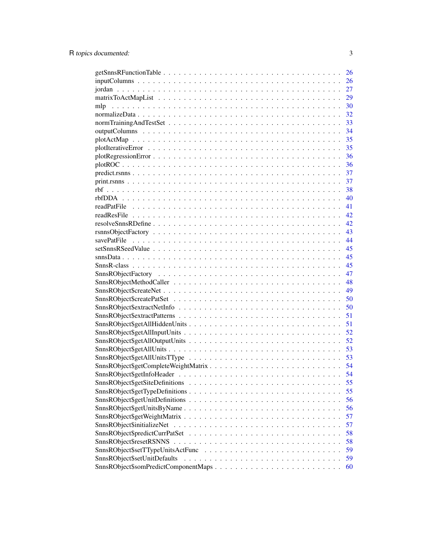|                                      | 26 |
|--------------------------------------|----|
|                                      | 26 |
|                                      | 27 |
|                                      | 29 |
| mlp                                  | 30 |
|                                      | 32 |
|                                      | 33 |
|                                      | 34 |
|                                      | 35 |
|                                      |    |
|                                      |    |
|                                      |    |
|                                      |    |
|                                      |    |
|                                      |    |
|                                      | 40 |
|                                      | 41 |
|                                      |    |
|                                      |    |
|                                      |    |
|                                      |    |
|                                      | 44 |
|                                      | 45 |
|                                      | 45 |
|                                      | 45 |
|                                      | 47 |
|                                      | 48 |
|                                      | 49 |
|                                      |    |
| SnnsRObject\$extractNetInfo          | 50 |
|                                      | 51 |
|                                      | 51 |
|                                      | 52 |
|                                      | 52 |
|                                      | 53 |
|                                      |    |
|                                      |    |
|                                      | 54 |
|                                      | 55 |
|                                      | 55 |
|                                      | 56 |
| SnnsRObject\$getUnitsByName          | 56 |
|                                      | 57 |
|                                      | 57 |
|                                      | 58 |
|                                      | 58 |
|                                      | 59 |
| SnnsRObject\$setUnitDefaults         | 59 |
| SnnsRObject\$somPredictComponentMaps | 60 |
|                                      |    |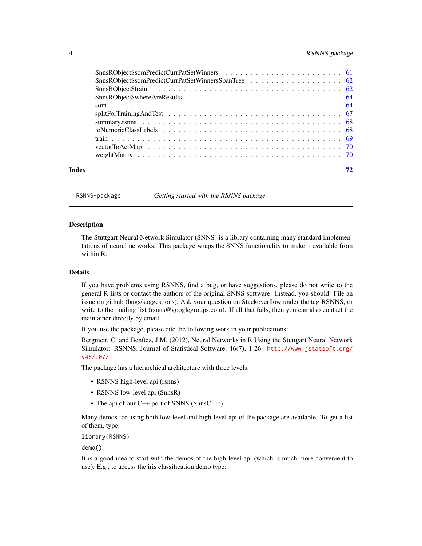### <span id="page-3-0"></span>4 RSNNS-package

| Index |  |
|-------|--|

RSNNS-package *Getting started with the RSNNS package*

#### **Description**

The Stuttgart Neural Network Simulator (SNNS) is a library containing many standard implementations of neural networks. This package wraps the SNNS functionality to make it available from within R.

### Details

If you have problems using RSNNS, find a bug, or have suggestions, please do not write to the general R lists or contact the authors of the original SNNS software. Instead, you should: File an issue on github (bugs/suggestions), Ask your question on Stackoverflow under the tag RSNNS, or write to the mailing list (rsnns@googlegroups.com). If all that fails, then you can also contact the maintainer directly by email.

If you use the package, please cite the following work in your publications:

Bergmeir, C. and Benítez, J.M. (2012), Neural Networks in R Using the Stuttgart Neural Network Simulator: RSNNS. Journal of Statistical Software, 46(7), 1-26. [http://www.jstatsoft.org/](http://www.jstatsoft.org/v46/i07/) [v46/i07/](http://www.jstatsoft.org/v46/i07/)

The package has a hierarchical architecture with three levels:

- RSNNS high-level api (rsnns)
- RSNNS low-level api (SnnsR)
- The api of our C++ port of SNNS (SnnsCLib)

Many demos for using both low-level and high-level api of the package are available. To get a list of them, type:

library(RSNNS)

demo()

It is a good idea to start with the demos of the high-level api (which is much more convenient to use). E.g., to access the iris classification demo type: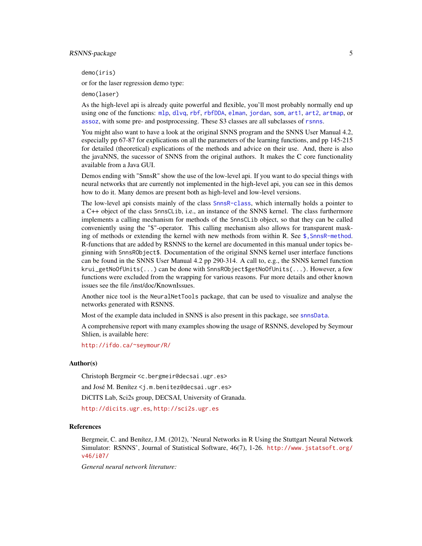### RSNNS-package 5

demo(iris)

or for the laser regression demo type:

demo(laser)

As the high-level api is already quite powerful and flexible, you'll most probably normally end up using one of the functions: [mlp](#page-29-1), [dlvq](#page-18-1), [rbf](#page-37-1), [rbfDDA](#page-39-1), [elman](#page-19-1), [jordan](#page-26-1), [som](#page-63-1), [art1](#page-6-1), [art2](#page-9-1), [artmap](#page-11-1), or [assoz](#page-13-1), with some pre- and postprocessing. These S3 classes are all subclasses of [rsnns](#page-42-1).

You might also want to have a look at the original SNNS program and the SNNS User Manual 4.2, especially pp 67-87 for explications on all the parameters of the learning functions, and pp 145-215 for detailed (theoretical) explications of the methods and advice on their use. And, there is also the javaNNS, the sucessor of SNNS from the original authors. It makes the C core functionality available from a Java GUI.

Demos ending with "SnnsR" show the use of the low-level api. If you want to do special things with neural networks that are currently not implemented in the high-level api, you can see in this demos how to do it. Many demos are present both as high-level and low-level versions.

The low-level api consists mainly of the class [SnnsR-class](#page-44-1), which internally holds a pointer to a C++ object of the class SnnsCLib, i.e., an instance of the SNNS kernel. The class furthermore implements a calling mechanism for methods of the SnnsCLib object, so that they can be called conveniently using the "\$"-operator. This calling mechanism also allows for transparent masking of methods or extending the kernel with new methods from within R. See  $\frac{1}{2}$ , SnnsR-method. R-functions that are added by RSNNS to the kernel are documented in this manual under topics beginning with SnnsRObject\$. Documentation of the original SNNS kernel user interface functions can be found in the SNNS User Manual 4.2 pp 290-314. A call to, e.g., the SNNS kernel function krui\_getNoOfUnits(...) can be done with SnnsRObject\$getNoOfUnits(...). However, a few functions were excluded from the wrapping for various reasons. Fur more details and other known issues see the file /inst/doc/KnownIssues.

Another nice tool is the NeuralNetTools package, that can be used to visualize and analyse the networks generated with RSNNS.

Most of the example data included in SNNS is also present in this package, see [snnsData](#page-44-2).

A comprehensive report with many examples showing the usage of RSNNS, developed by Seymour Shlien, is available here:

<http://ifdo.ca/~seymour/R/>

#### Author(s)

Christoph Bergmeir <c.bergmeir@decsai.ugr.es> and José M. Benítez <j.m.benitez@decsai.ugr.es> DiCITS Lab, Sci2s group, DECSAI, University of Granada. <http://dicits.ugr.es>, <http://sci2s.ugr.es>

#### **References**

Bergmeir, C. and Benítez, J.M. (2012), 'Neural Networks in R Using the Stuttgart Neural Network Simulator: RSNNS', Journal of Statistical Software, 46(7), 1-26. [http://www.jstatsoft.org/](http://www.jstatsoft.org/v46/i07/) [v46/i07/](http://www.jstatsoft.org/v46/i07/)

*General neural network literature:*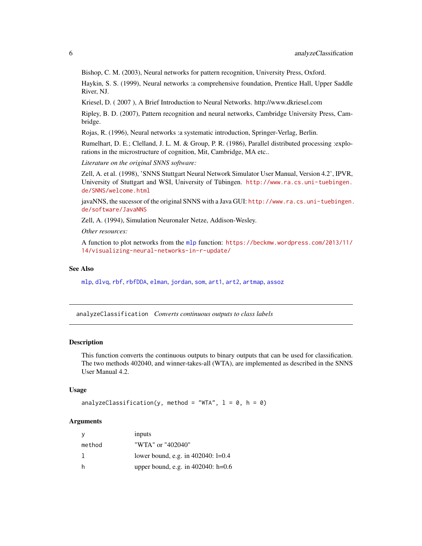Bishop, C. M. (2003), Neural networks for pattern recognition, University Press, Oxford.

Haykin, S. S. (1999), Neural networks :a comprehensive foundation, Prentice Hall, Upper Saddle River, NJ.

Kriesel, D. ( 2007 ), A Brief Introduction to Neural Networks. http://www.dkriesel.com

Ripley, B. D. (2007), Pattern recognition and neural networks, Cambridge University Press, Cambridge.

Rojas, R. (1996), Neural networks :a systematic introduction, Springer-Verlag, Berlin.

Rumelhart, D. E.; Clelland, J. L. M. & Group, P. R. (1986), Parallel distributed processing : explorations in the microstructure of cognition, Mit, Cambridge, MA etc..

*Literature on the original SNNS software:*

Zell, A. et al. (1998), 'SNNS Stuttgart Neural Network Simulator User Manual, Version 4.2', IPVR, University of Stuttgart and WSI, University of Tübingen. [http://www.ra.cs.uni-tuebingen.](http://www.ra.cs.uni-tuebingen.de/SNNS/welcome.html) [de/SNNS/welcome.html](http://www.ra.cs.uni-tuebingen.de/SNNS/welcome.html)

javaNNS, the sucessor of the original SNNS with a Java GUI: [http://www.ra.cs.uni-tuebingen.](http://www.ra.cs.uni-tuebingen.de/software/JavaNNS) [de/software/JavaNNS](http://www.ra.cs.uni-tuebingen.de/software/JavaNNS)

Zell, A. (1994), Simulation Neuronaler Netze, Addison-Wesley.

*Other resources:*

A function to plot networks from the [mlp](#page-29-1) function: [https://beckmw.wordpress.com/2013/11/](https://beckmw.wordpress.com/2013/11/14/visualizing-neural-networks-in-r-update/) [14/visualizing-neural-networks-in-r-update/](https://beckmw.wordpress.com/2013/11/14/visualizing-neural-networks-in-r-update/)

### See Also

[mlp](#page-29-1), [dlvq](#page-18-1), [rbf](#page-37-1), [rbfDDA](#page-39-1), [elman](#page-19-1), [jordan](#page-26-1), [som](#page-63-1), [art1](#page-6-1), [art2](#page-9-1), [artmap](#page-11-1), [assoz](#page-13-1)

<span id="page-5-1"></span>analyzeClassification *Converts continuous outputs to class labels*

#### Description

This function converts the continuous outputs to binary outputs that can be used for classification. The two methods 402040, and winner-takes-all (WTA), are implemented as described in the SNNS User Manual 4.2.

#### Usage

```
analyzeClassification(y, method = "WTA", l = 0, h = 0)
```
### Arguments

| y      | inputs                                |
|--------|---------------------------------------|
| method | "WTA" or "402040"                     |
|        | lower bound, e.g. in 402040: $l=0.4$  |
| h      | upper bound, e.g. in $402040$ : h=0.6 |

<span id="page-5-0"></span>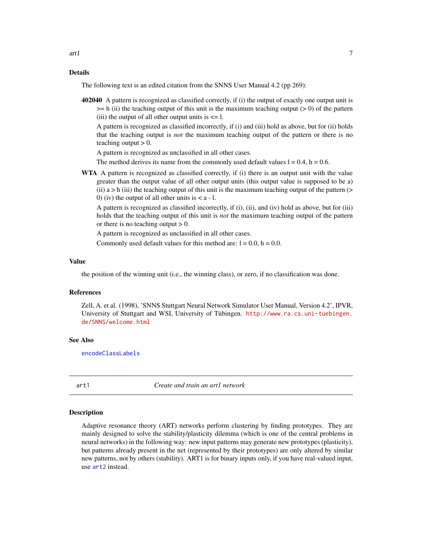### <span id="page-6-0"></span>Details

The following text is an edited citation from the SNNS User Manual 4.2 (pp 269):

402040 A pattern is recognized as classified correctly, if (i) the output of exactly one output unit is  $>=$  h (ii) the teaching output of this unit is the maximum teaching output ( $>$  0) of the pattern (iii) the output of all other output units is  $\leq 1$ .

A pattern is recognized as classified incorrectly, if (i) and (iii) hold as above, but for (ii) holds that the teaching output is *not* the maximum teaching output of the pattern or there is no teaching output  $> 0$ .

A pattern is recognized as unclassified in all other cases.

The method derives its name from the commonly used default values  $l = 0.4$ ,  $h = 0.6$ .

WTA A pattern is recognized as classified correctly, if (i) there is an output unit with the value greater than the output value of all other output units (this output value is supposed to be a) (ii)  $a > h$  (iii) the teaching output of this unit is the maximum teaching output of the pattern ( $>$ 0) (iv) the output of all other units is  $\lt a - 1$ .

A pattern is recognized as classified incorrectly, if (i), (ii), and (iv) hold as above, but for (iii) holds that the teaching output of this unit is *not* the maximum teaching output of the pattern or there is no teaching output  $> 0$ .

A pattern is recognized as unclassified in all other cases.

Commonly used default values for this method are:  $l = 0.0$ ,  $h = 0.0$ .

#### Value

the position of the winning unit (i.e., the winning class), or zero, if no classification was done.

#### References

Zell, A. et al. (1998), 'SNNS Stuttgart Neural Network Simulator User Manual, Version 4.2', IPVR, University of Stuttgart and WSI, University of Tübingen. [http://www.ra.cs.uni-tuebingen.](http://www.ra.cs.uni-tuebingen.de/SNNS/welcome.html) [de/SNNS/welcome.html](http://www.ra.cs.uni-tuebingen.de/SNNS/welcome.html)

#### See Also

[encodeClassLabels](#page-21-1)

<span id="page-6-1"></span>art1 *Create and train an art1 network*

#### Description

Adaptive resonance theory (ART) networks perform clustering by finding prototypes. They are mainly designed to solve the stability/plasticity dilemma (which is one of the central problems in neural networks) in the following way: new input patterns may generate new prototypes (plasticity), but patterns already present in the net (represented by their prototypes) are only altered by similar new patterns, not by others (stability). ART1 is for binary inputs only, if you have real-valued input, use [art2](#page-9-1) instead.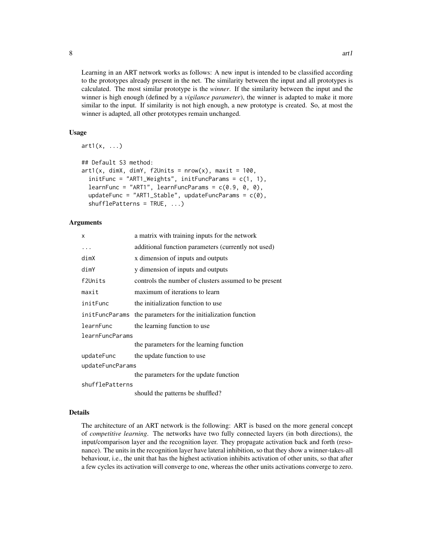Learning in an ART network works as follows: A new input is intended to be classified according to the prototypes already present in the net. The similarity between the input and all prototypes is calculated. The most similar prototype is the *winner*. If the similarity between the input and the winner is high enough (defined by a *vigilance parameter*), the winner is adapted to make it more similar to the input. If similarity is not high enough, a new prototype is created. So, at most the winner is adapted, all other prototypes remain unchanged.

### Usage

 $art1(x, \ldots)$ 

```
## Default S3 method:
art1(x, dimX, dimY, f2Units = nrow(x), maxit = 100,initFunc = "ART1_Weights", initFuncParameters = c(1, 1),learnFunc = "ART1", learnFuncParameters = c(0.9, 0, 0),updateFunc = "ART1_Stable", updateFuncParams = c(0),
  shufflePatterns = TRUE, ...)
```
### Arguments

| X                | a matrix with training inputs for the network         |  |  |  |
|------------------|-------------------------------------------------------|--|--|--|
| $\cdots$         | additional function parameters (currently not used)   |  |  |  |
| dimX             | x dimension of inputs and outputs                     |  |  |  |
| dimY             | y dimension of inputs and outputs                     |  |  |  |
| f2Units          | controls the number of clusters assumed to be present |  |  |  |
| maxit            | maximum of iterations to learn                        |  |  |  |
| initFunc         | the initialization function to use                    |  |  |  |
| initFuncParams   | the parameters for the initialization function        |  |  |  |
| learnFunc        | the learning function to use                          |  |  |  |
| learnFuncParams  |                                                       |  |  |  |
|                  | the parameters for the learning function              |  |  |  |
| updateFunc       | the update function to use                            |  |  |  |
| updateFuncParams |                                                       |  |  |  |
|                  | the parameters for the update function                |  |  |  |
| shufflePatterns  |                                                       |  |  |  |
|                  | should the patterns be shuffled?                      |  |  |  |

#### Details

The architecture of an ART network is the following: ART is based on the more general concept of *competitive learning*. The networks have two fully connected layers (in both directions), the input/comparison layer and the recognition layer. They propagate activation back and forth (resonance). The units in the recognition layer have lateral inhibition, so that they show a winner-takes-all behaviour, i.e., the unit that has the highest activation inhibits activation of other units, so that after a few cycles its activation will converge to one, whereas the other units activations converge to zero.

8 art1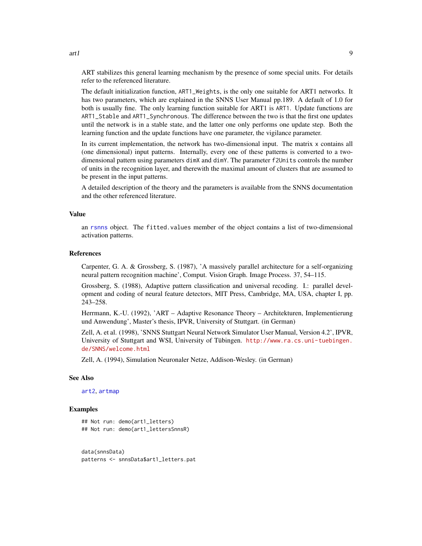ART stabilizes this general learning mechanism by the presence of some special units. For details refer to the referenced literature.

The default initialization function, ART1\_Weights, is the only one suitable for ART1 networks. It has two parameters, which are explained in the SNNS User Manual pp.189. A default of 1.0 for both is usually fine. The only learning function suitable for ART1 is ART1. Update functions are ART1\_Stable and ART1\_Synchronous. The difference between the two is that the first one updates until the network is in a stable state, and the latter one only performs one update step. Both the learning function and the update functions have one parameter, the vigilance parameter.

In its current implementation, the network has two-dimensional input. The matrix x contains all (one dimensional) input patterns. Internally, every one of these patterns is converted to a twodimensional pattern using parameters dimX and dimY. The parameter f2Units controls the number of units in the recognition layer, and therewith the maximal amount of clusters that are assumed to be present in the input patterns.

A detailed description of the theory and the parameters is available from the SNNS documentation and the other referenced literature.

#### Value

an [rsnns](#page-42-1) object. The fitted.values member of the object contains a list of two-dimensional activation patterns.

### References

Carpenter, G. A. & Grossberg, S. (1987), 'A massively parallel architecture for a self-organizing neural pattern recognition machine', Comput. Vision Graph. Image Process. 37, 54–115.

Grossberg, S. (1988), Adaptive pattern classification and universal recoding. I.: parallel development and coding of neural feature detectors, MIT Press, Cambridge, MA, USA, chapter I, pp. 243–258.

Herrmann, K.-U. (1992), 'ART – Adaptive Resonance Theory – Architekturen, Implementierung und Anwendung', Master's thesis, IPVR, University of Stuttgart. (in German)

Zell, A. et al. (1998), 'SNNS Stuttgart Neural Network Simulator User Manual, Version 4.2', IPVR, University of Stuttgart and WSI, University of Tübingen. [http://www.ra.cs.uni-tuebingen.](http://www.ra.cs.uni-tuebingen.de/SNNS/welcome.html) [de/SNNS/welcome.html](http://www.ra.cs.uni-tuebingen.de/SNNS/welcome.html)

Zell, A. (1994), Simulation Neuronaler Netze, Addison-Wesley. (in German)

#### See Also

[art2](#page-9-1), [artmap](#page-11-1)

#### Examples

```
## Not run: demo(art1_letters)
## Not run: demo(art1_lettersSnnsR)
```
data(snnsData) patterns <- snnsData\$art1\_letters.pat

art1 9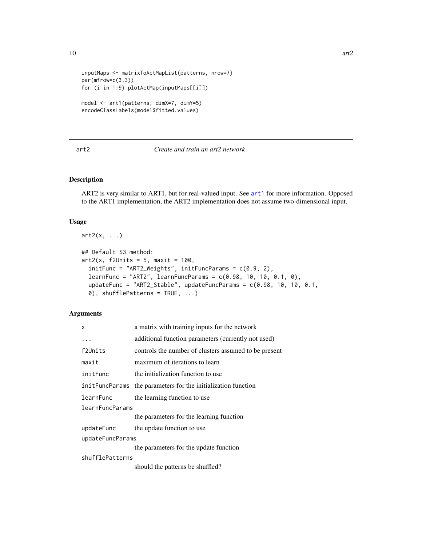```
inputMaps <- matrixToActMapList(patterns, nrow=7)
par(mfrow=c(3,3))
for (i in 1:9) plotActMap(inputMaps[[i]])
model <- art1(patterns, dimX=7, dimY=5)
```

```
encodeClassLabels(model$fitted.values)
```
#### <span id="page-9-1"></span>art2 *Create and train an art2 network*

### Description

ART2 is very similar to ART1, but for real-valued input. See [art1](#page-6-1) for more information. Opposed to the ART1 implementation, the ART2 implementation does not assume two-dimensional input.

#### Usage

```
art2(x, \ldots)## Default S3 method:
art2(x, f2Units = 5, maxit = 100,initFunc = "ART2_Weights", initFuncParams = c(0.9, 2),
  learnFunc = "ART2", learnFuncParams = c(0.98, 10, 10, 0.1, 0),
  updateFunc = "ART2_Stable", updateFuncParams = c(0.98, 10, 10, 0.1, 0.1)0), shufflePatterns = TRUE, ...)
```
#### Arguments

| X                | a matrix with training inputs for the network           |  |  |  |  |
|------------------|---------------------------------------------------------|--|--|--|--|
| .                | additional function parameters (currently not used)     |  |  |  |  |
| f2Units          | controls the number of clusters assumed to be present   |  |  |  |  |
| maxit            | maximum of iterations to learn                          |  |  |  |  |
| initFunc         | the initialization function to use                      |  |  |  |  |
|                  | initeral the parameters for the initialization function |  |  |  |  |
| learnFunc        | the learning function to use                            |  |  |  |  |
| learnFuncParams  |                                                         |  |  |  |  |
|                  | the parameters for the learning function                |  |  |  |  |
| updateFunc       | the update function to use                              |  |  |  |  |
| updateFuncParams |                                                         |  |  |  |  |
|                  | the parameters for the update function                  |  |  |  |  |
| shufflePatterns  |                                                         |  |  |  |  |
|                  | should the patterns be shuffled?                        |  |  |  |  |

<span id="page-9-0"></span> $10$  art $2$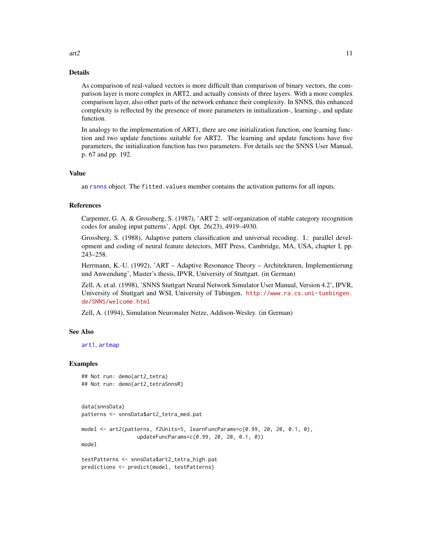#### Details

As comparison of real-valued vectors is more difficult than comparison of binary vectors, the comparison layer is more complex in ART2, and actually consists of three layers. With a more complex comparison layer, also other parts of the network enhance their complexity. In SNNS, this enhanced complexity is reflected by the presence of more parameters in initialization-, learning-, and update function.

In analogy to the implementation of ART1, there are one initialization function, one learning function and two update functions suitable for ART2. The learning and update functions have five parameters, the initialization function has two parameters. For details see the SNNS User Manual, p. 67 and pp. 192.

#### Value

an [rsnns](#page-42-1) object. The fitted.values member contains the activation patterns for all inputs.

#### References

Carpenter, G. A. & Grossberg, S. (1987), 'ART 2: self-organization of stable category recognition codes for analog input patterns', Appl. Opt. 26(23), 4919–4930.

Grossberg, S. (1988), Adaptive pattern classification and universal recoding. I.: parallel development and coding of neural feature detectors, MIT Press, Cambridge, MA, USA, chapter I, pp. 243–258.

Herrmann, K.-U. (1992), 'ART – Adaptive Resonance Theory – Architekturen, Implementierung und Anwendung', Master's thesis, IPVR, University of Stuttgart. (in German)

Zell, A. et al. (1998), 'SNNS Stuttgart Neural Network Simulator User Manual, Version 4.2', IPVR, University of Stuttgart and WSI, University of Tübingen. [http://www.ra.cs.uni-tuebingen.](http://www.ra.cs.uni-tuebingen.de/SNNS/welcome.html) [de/SNNS/welcome.html](http://www.ra.cs.uni-tuebingen.de/SNNS/welcome.html)

Zell, A. (1994), Simulation Neuronaler Netze, Addison-Wesley. (in German)

#### See Also

[art1](#page-6-1), [artmap](#page-11-1)

#### Examples

```
## Not run: demo(art2_tetra)
## Not run: demo(art2_tetraSnnsR)
```

```
data(snnsData)
patterns <- snnsData$art2_tetra_med.pat
model <- art2(patterns, f2Units=5, learnFuncParams=c(0.99, 20, 20, 0.1, 0),
                  updateFuncParams=c(0.99, 20, 20, 0.1, 0))
model
testPatterns <- snnsData$art2_tetra_high.pat
predictions <- predict(model, testPatterns)
```
 $\arctan 11$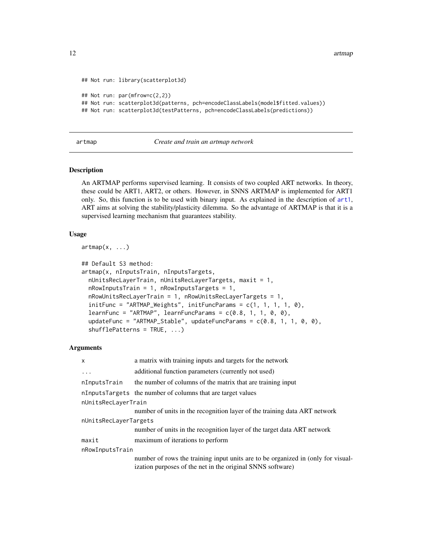<span id="page-11-0"></span>12 artmap and the contract of the contract of the contract of the contract of the contract of the contract of the contract of the contract of the contract of the contract of the contract of the contract of the contract of

```
## Not run: library(scatterplot3d)
## Not run: par(mfrow=c(2,2))
## Not run: scatterplot3d(patterns, pch=encodeClassLabels(model$fitted.values))
## Not run: scatterplot3d(testPatterns, pch=encodeClassLabels(predictions))
```
#### <span id="page-11-1"></span>artmap *Create and train an artmap network*

#### **Description**

An ARTMAP performs supervised learning. It consists of two coupled ART networks. In theory, these could be ART1, ART2, or others. However, in SNNS ARTMAP is implemented for ART1 only. So, this function is to be used with binary input. As explained in the description of [art1](#page-6-1), ART aims at solving the stability/plasticity dilemma. So the advantage of ARTMAP is that it is a supervised learning mechanism that guarantees stability.

#### Usage

```
artmap(x, \ldots)
```

```
## Default S3 method:
artmap(x, nInputsTrain, nInputsTargets,
  nUnitsRecLayerTrain, nUnitsRecLayerTargets, maxit = 1,
  nRowInputsTrain = 1, nRowInputsTargets = 1,
  nRowUnitsRecLayerTrain = 1, nRowUnitsRecLayerTargets = 1,
  initFunc = "ARTMAP_Weights", initFuncParameters = c(1, 1, 1, 1, 0),learnFunc = "ARTMAP", learnFuncParams = c(0.8, 1, 1, 0, 0),updateFunc = "ARTMAP_Stable", updateFuncParams = c(0.8, 1, 1, 0, 0),
  shufflePatterns = TRUE, ...)
```
#### Arguments

| X                     | a matrix with training inputs and targets for the network                                                                                      |
|-----------------------|------------------------------------------------------------------------------------------------------------------------------------------------|
| $\ddotsc$             | additional function parameters (currently not used)                                                                                            |
| nInputsTrain          | the number of columns of the matrix that are training input                                                                                    |
|                       | nInputsTargets the number of columns that are target values                                                                                    |
| nUnitsRecLayerTrain   |                                                                                                                                                |
|                       | number of units in the recognition layer of the training data ART network                                                                      |
| nUnitsRecLayerTargets |                                                                                                                                                |
|                       | number of units in the recognition layer of the target data ART network                                                                        |
| maxit                 | maximum of iterations to perform                                                                                                               |
| nRowInputsTrain       |                                                                                                                                                |
|                       | number of rows the training input units are to be organized in (only for visual-<br>ization purposes of the net in the original SNNS software) |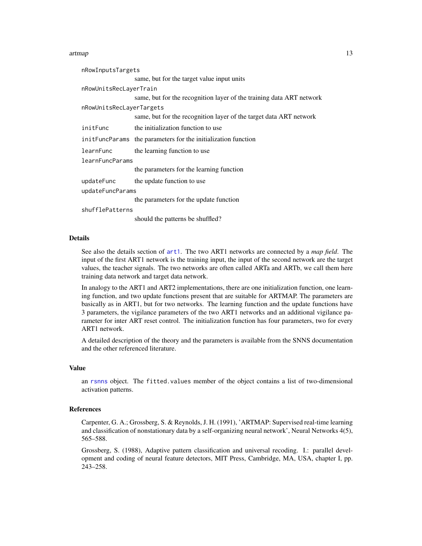#### artmap and the contract of the contract of the contract of the contract of the contract of the contract of the contract of the contract of the contract of the contract of the contract of the contract of the contract of the

| nRowInputsTargets        |                                                                      |
|--------------------------|----------------------------------------------------------------------|
|                          | same, but for the target value input units                           |
| nRowUnitsRecLayerTrain   |                                                                      |
|                          | same, but for the recognition layer of the training data ART network |
| nRowUnitsRecLayerTargets |                                                                      |
|                          | same, but for the recognition layer of the target data ART network   |
| initFunc                 | the initialization function to use                                   |
|                          | initerial the parameters for the initialization function             |
| learnFunc                | the learning function to use                                         |
| learnFuncParams          |                                                                      |
|                          | the parameters for the learning function                             |
| updateFunc               | the update function to use                                           |
| updateFuncParams         |                                                                      |
|                          | the parameters for the update function                               |
| shufflePatterns          |                                                                      |
|                          | should the patterns be shuffled?                                     |

#### Details

See also the details section of [art1](#page-6-1). The two ART1 networks are connected by a *map field*. The input of the first ART1 network is the training input, the input of the second network are the target values, the teacher signals. The two networks are often called ARTa and ARTb, we call them here training data network and target data network.

In analogy to the ART1 and ART2 implementations, there are one initialization function, one learning function, and two update functions present that are suitable for ARTMAP. The parameters are basically as in ART1, but for two networks. The learning function and the update functions have 3 parameters, the vigilance parameters of the two ART1 networks and an additional vigilance parameter for inter ART reset control. The initialization function has four parameters, two for every ART1 network.

A detailed description of the theory and the parameters is available from the SNNS documentation and the other referenced literature.

#### Value

an [rsnns](#page-42-1) object. The fitted.values member of the object contains a list of two-dimensional activation patterns.

#### References

Carpenter, G. A.; Grossberg, S. & Reynolds, J. H. (1991), 'ARTMAP: Supervised real-time learning and classification of nonstationary data by a self-organizing neural network', Neural Networks 4(5), 565–588.

Grossberg, S. (1988), Adaptive pattern classification and universal recoding. I.: parallel development and coding of neural feature detectors, MIT Press, Cambridge, MA, USA, chapter I, pp. 243–258.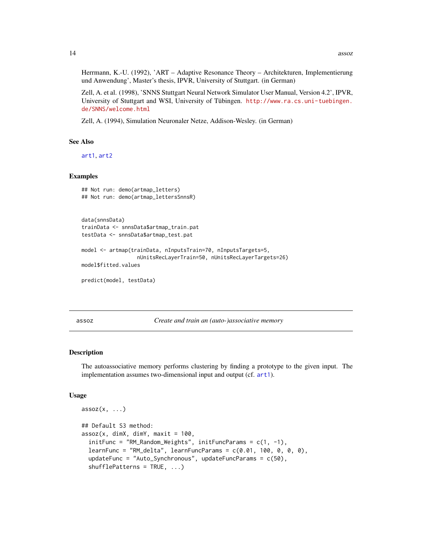<span id="page-13-0"></span>Herrmann, K.-U. (1992), 'ART – Adaptive Resonance Theory – Architekturen, Implementierung und Anwendung', Master's thesis, IPVR, University of Stuttgart. (in German)

Zell, A. et al. (1998), 'SNNS Stuttgart Neural Network Simulator User Manual, Version 4.2', IPVR, University of Stuttgart and WSI, University of Tübingen. [http://www.ra.cs.uni-tuebingen.](http://www.ra.cs.uni-tuebingen.de/SNNS/welcome.html) [de/SNNS/welcome.html](http://www.ra.cs.uni-tuebingen.de/SNNS/welcome.html)

Zell, A. (1994), Simulation Neuronaler Netze, Addison-Wesley. (in German)

#### See Also

[art1](#page-6-1), [art2](#page-9-1)

#### Examples

```
## Not run: demo(artmap_letters)
## Not run: demo(artmap_lettersSnnsR)
```

```
data(snnsData)
trainData <- snnsData$artmap_train.pat
testData <- snnsData$artmap_test.pat
```

```
model <- artmap(trainData, nInputsTrain=70, nInputsTargets=5,
                  nUnitsRecLayerTrain=50, nUnitsRecLayerTargets=26)
model$fitted.values
```

```
predict(model, testData)
```
<span id="page-13-1"></span>assoz *Create and train an (auto-)associative memory*

#### Description

The autoassociative memory performs clustering by finding a prototype to the given input. The implementation assumes two-dimensional input and output (cf. [art1](#page-6-1)).

#### Usage

```
assoc(x, ...)## Default S3 method:
assoc(x, dimX, dimY, maxit = 100,initFunc = "RM_Random_Weights", initFuncParams = c(1, -1),
  learnFunc = "RM_delta", learnFuncParams = c(0.01, 100, 0, 0, 0),
 updateFunc = "Auto_Synchronous", updateFuncParams = c(50),
  shufflePatterns = TRUE, ...)
```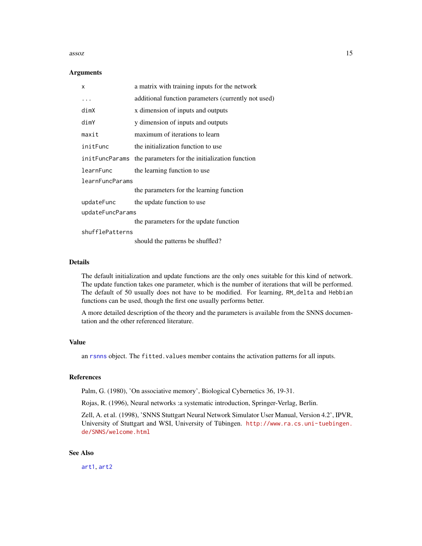#### assoz assoz assoz and  $\frac{15}{2}$

#### **Arguments**

| x                | a matrix with training inputs for the network                  |
|------------------|----------------------------------------------------------------|
| .                | additional function parameters (currently not used)            |
| dimX             | x dimension of inputs and outputs                              |
| dimY             | y dimension of inputs and outputs                              |
| maxit            | maximum of iterations to learn                                 |
| initFunc         | the initialization function to use                             |
|                  | init FuncParams the parameters for the initialization function |
| learnFunc        | the learning function to use                                   |
| learnFuncParams  |                                                                |
|                  | the parameters for the learning function                       |
| updateFunc       | the update function to use                                     |
| updateFuncParams |                                                                |
|                  | the parameters for the update function                         |
| shufflePatterns  |                                                                |
|                  | should the patterns be shuffled?                               |

### Details

The default initialization and update functions are the only ones suitable for this kind of network. The update function takes one parameter, which is the number of iterations that will be performed. The default of 50 usually does not have to be modified. For learning, RM\_delta and Hebbian functions can be used, though the first one usually performs better.

A more detailed description of the theory and the parameters is available from the SNNS documentation and the other referenced literature.

#### Value

an [rsnns](#page-42-1) object. The fitted.values member contains the activation patterns for all inputs.

### References

Palm, G. (1980), 'On associative memory', Biological Cybernetics 36, 19-31.

Rojas, R. (1996), Neural networks :a systematic introduction, Springer-Verlag, Berlin.

Zell, A. et al. (1998), 'SNNS Stuttgart Neural Network Simulator User Manual, Version 4.2', IPVR, University of Stuttgart and WSI, University of Tübingen. [http://www.ra.cs.uni-tuebingen.](http://www.ra.cs.uni-tuebingen.de/SNNS/welcome.html) [de/SNNS/welcome.html](http://www.ra.cs.uni-tuebingen.de/SNNS/welcome.html)

#### See Also

[art1](#page-6-1), [art2](#page-9-1)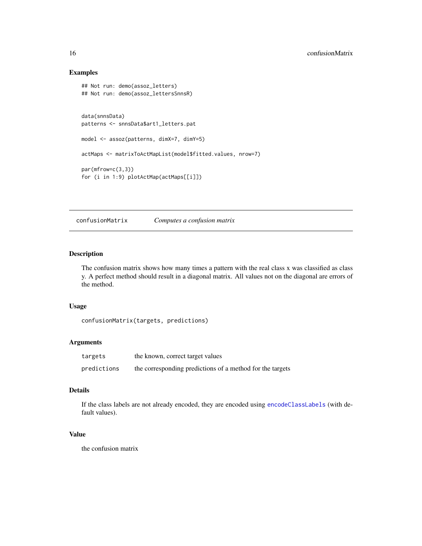### Examples

```
## Not run: demo(assoz_letters)
## Not run: demo(assoz_lettersSnnsR)
data(snnsData)
patterns <- snnsData$art1_letters.pat
model <- assoz(patterns, dimX=7, dimY=5)
actMaps <- matrixToActMapList(model$fitted.values, nrow=7)
par(mfrow=c(3,3))
for (i in 1:9) plotActMap(actMaps[[i]])
```
confusionMatrix *Computes a confusion matrix*

### Description

The confusion matrix shows how many times a pattern with the real class x was classified as class y. A perfect method should result in a diagonal matrix. All values not on the diagonal are errors of the method.

#### Usage

```
confusionMatrix(targets, predictions)
```
#### Arguments

| targets     | the known, correct target values                          |
|-------------|-----------------------------------------------------------|
| predictions | the corresponding predictions of a method for the targets |

### Details

If the class labels are not already encoded, they are encoded using [encodeClassLabels](#page-21-1) (with default values).

#### Value

the confusion matrix

<span id="page-15-0"></span>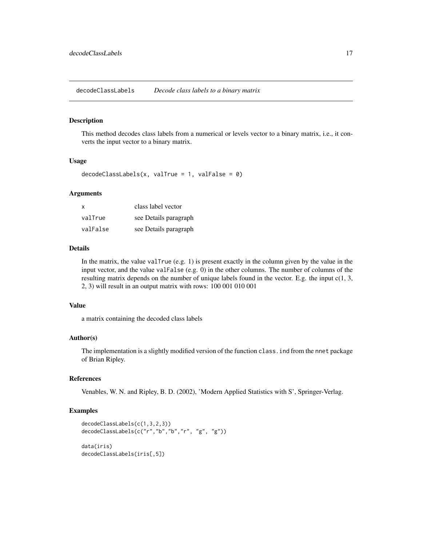<span id="page-16-0"></span>decodeClassLabels *Decode class labels to a binary matrix*

#### Description

This method decodes class labels from a numerical or levels vector to a binary matrix, i.e., it converts the input vector to a binary matrix.

#### Usage

```
decodeClassLabels(x, value = 1, value = 0)
```
### Arguments

| x        | class label vector    |
|----------|-----------------------|
| valTrue  | see Details paragraph |
| valFalse | see Details paragraph |

#### Details

In the matrix, the value valTrue (e.g. 1) is present exactly in the column given by the value in the input vector, and the value valFalse (e.g.  $0$ ) in the other columns. The number of columns of the resulting matrix depends on the number of unique labels found in the vector. E.g. the input c(1, 3, 2, 3) will result in an output matrix with rows: 100 001 010 001

#### Value

a matrix containing the decoded class labels

### Author(s)

The implementation is a slightly modified version of the function class.ind from the nnet package of Brian Ripley.

### References

Venables, W. N. and Ripley, B. D. (2002), 'Modern Applied Statistics with S', Springer-Verlag.

#### Examples

```
decodeClassLabels(c(1,3,2,3))
decodeClassLabels(c("r","b","b","r", "g", "g"))
data(iris)
decodeClassLabels(iris[,5])
```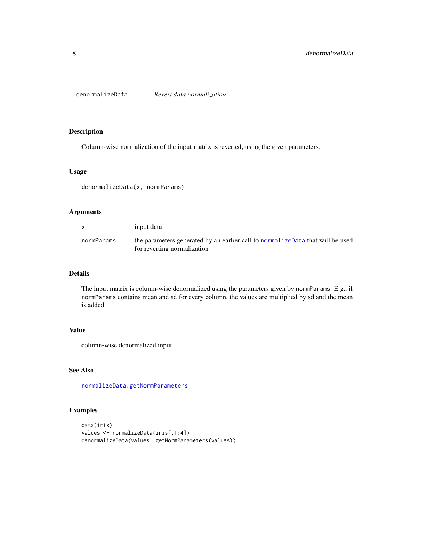<span id="page-17-1"></span><span id="page-17-0"></span>denormalizeData *Revert data normalization*

### Description

Column-wise normalization of the input matrix is reverted, using the given parameters.

#### Usage

```
denormalizeData(x, normParams)
```
### Arguments

|            | input data                                                                                                     |
|------------|----------------------------------------------------------------------------------------------------------------|
| normParams | the parameters generated by an earlier call to normalize Data that will be used<br>for reverting normalization |

### Details

The input matrix is column-wise denormalized using the parameters given by normParams. E.g., if normParams contains mean and sd for every column, the values are multiplied by sd and the mean is added

### Value

column-wise denormalized input

### See Also

[normalizeData](#page-31-1), [getNormParameters](#page-23-1)

## Examples

```
data(iris)
values <- normalizeData(iris[,1:4])
denormalizeData(values, getNormParameters(values))
```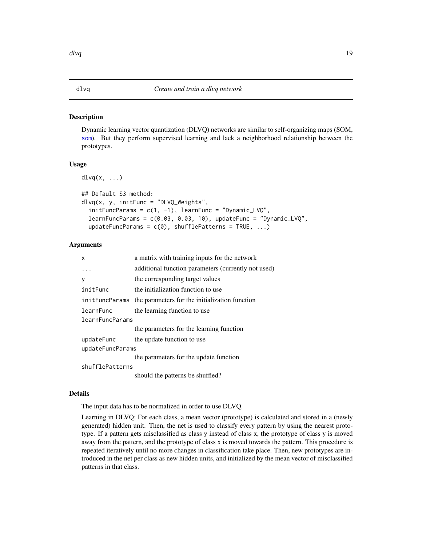#### <span id="page-18-1"></span><span id="page-18-0"></span>Description

Dynamic learning vector quantization (DLVQ) networks are similar to self-organizing maps (SOM, [som](#page-63-1)). But they perform supervised learning and lack a neighborhood relationship between the prototypes.

#### Usage

 $d\text{lvq}(x, \ldots)$ 

```
## Default S3 method:
dlvq(x, y, initFunc = "DLVQ_Weights",
  initFuncParameters = c(1, -1), learnFunc = "Dynamic_LVQ",
  learnFuncParams = c(0.03, 0.03, 10), updateFunc = "Dynamic_LVQ",
  updateFuncParams = c(\emptyset), shufflePatterns = TRUE, ...)
```
### Arguments

| x                | a matrix with training inputs for the network            |  |
|------------------|----------------------------------------------------------|--|
|                  | additional function parameters (currently not used)      |  |
| V                | the corresponding target values                          |  |
| initFunc         | the initialization function to use                       |  |
|                  | initerial the parameters for the initialization function |  |
| learnFunc        | the learning function to use                             |  |
| learnFuncParams  |                                                          |  |
|                  | the parameters for the learning function                 |  |
| updateFunc       | the update function to use                               |  |
| updateFuncParams |                                                          |  |
|                  | the parameters for the update function                   |  |
| shufflePatterns  |                                                          |  |
|                  | should the patterns be shuffled?                         |  |

#### Details

The input data has to be normalized in order to use DLVQ.

Learning in DLVQ: For each class, a mean vector (prototype) is calculated and stored in a (newly generated) hidden unit. Then, the net is used to classify every pattern by using the nearest prototype. If a pattern gets misclassified as class y instead of class x, the prototype of class y is moved away from the pattern, and the prototype of class x is moved towards the pattern. This procedure is repeated iteratively until no more changes in classification take place. Then, new prototypes are introduced in the net per class as new hidden units, and initialized by the mean vector of misclassified patterns in that class.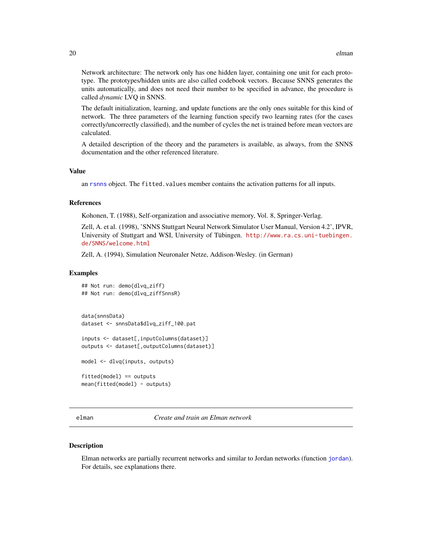<span id="page-19-0"></span>Network architecture: The network only has one hidden layer, containing one unit for each prototype. The prototypes/hidden units are also called codebook vectors. Because SNNS generates the units automatically, and does not need their number to be specified in advance, the procedure is called *dynamic* LVQ in SNNS.

The default initialization, learning, and update functions are the only ones suitable for this kind of network. The three parameters of the learning function specify two learning rates (for the cases correctly/uncorrectly classified), and the number of cycles the net is trained before mean vectors are calculated.

A detailed description of the theory and the parameters is available, as always, from the SNNS documentation and the other referenced literature.

#### Value

an [rsnns](#page-42-1) object. The fitted.values member contains the activation patterns for all inputs.

#### References

Kohonen, T. (1988), Self-organization and associative memory, Vol. 8, Springer-Verlag.

Zell, A. et al. (1998), 'SNNS Stuttgart Neural Network Simulator User Manual, Version 4.2', IPVR, University of Stuttgart and WSI, University of Tübingen. [http://www.ra.cs.uni-tuebingen.](http://www.ra.cs.uni-tuebingen.de/SNNS/welcome.html) [de/SNNS/welcome.html](http://www.ra.cs.uni-tuebingen.de/SNNS/welcome.html)

Zell, A. (1994), Simulation Neuronaler Netze, Addison-Wesley. (in German)

#### Examples

```
## Not run: demo(dlvq_ziff)
## Not run: demo(dlvq_ziffSnnsR)
data(snnsData)
dataset <- snnsData$dlvq_ziff_100.pat
inputs <- dataset[,inputColumns(dataset)]
outputs <- dataset[,outputColumns(dataset)]
model <- dlvq(inputs, outputs)
```
fitted(model) == outputs mean(fitted(model) - outputs)

<span id="page-19-1"></span>elman *Create and train an Elman network*

#### **Description**

Elman networks are partially recurrent networks and similar to Jordan networks (function [jordan](#page-26-1)). For details, see explanations there.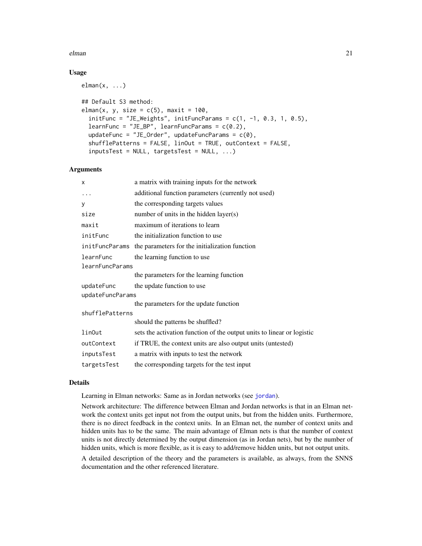#### elman 21

#### Usage

 $elman(x, \ldots)$ 

```
## Default S3 method:
elman(x, y, size = c(5), maxit = 100,
  initFunc = "JE_Weights", initFuncParams = c(1, -1, 0.3, 1, 0.5),
  learnFunc = "JE_BP", learnFuncParams = c(0.2),
  updateFunc = "JE_Order", updateFuncParams = c(\emptyset),
  shufflePatterns = FALSE, linOut = TRUE, outContext = FALSE,
  inputsTest = NULL, targetsTest = NULL, ...)
```
#### Arguments

| X                | a matrix with training inputs for the network                          |  |
|------------------|------------------------------------------------------------------------|--|
| .                | additional function parameters (currently not used)                    |  |
| У                | the corresponding targets values                                       |  |
| size             | number of units in the hidden layer(s)                                 |  |
| maxit            | maximum of iterations to learn                                         |  |
| initFunc         | the initialization function to use                                     |  |
| initFuncParams   | the parameters for the initialization function                         |  |
| learnFunc        | the learning function to use                                           |  |
| learnFuncParams  |                                                                        |  |
|                  | the parameters for the learning function                               |  |
| updateFunc       | the update function to use                                             |  |
| updateFuncParams |                                                                        |  |
|                  | the parameters for the update function                                 |  |
| shufflePatterns  |                                                                        |  |
|                  | should the patterns be shuffled?                                       |  |
| linOut           | sets the activation function of the output units to linear or logistic |  |
| outContext       | if TRUE, the context units are also output units (untested)            |  |
| inputsTest       | a matrix with inputs to test the network                               |  |
| targetsTest      | the corresponding targets for the test input                           |  |

### Details

Learning in Elman networks: Same as in Jordan networks (see [jordan](#page-26-1)).

Network architecture: The difference between Elman and Jordan networks is that in an Elman network the context units get input not from the output units, but from the hidden units. Furthermore, there is no direct feedback in the context units. In an Elman net, the number of context units and hidden units has to be the same. The main advantage of Elman nets is that the number of context units is not directly determined by the output dimension (as in Jordan nets), but by the number of hidden units, which is more flexible, as it is easy to add/remove hidden units, but not output units.

A detailed description of the theory and the parameters is available, as always, from the SNNS documentation and the other referenced literature.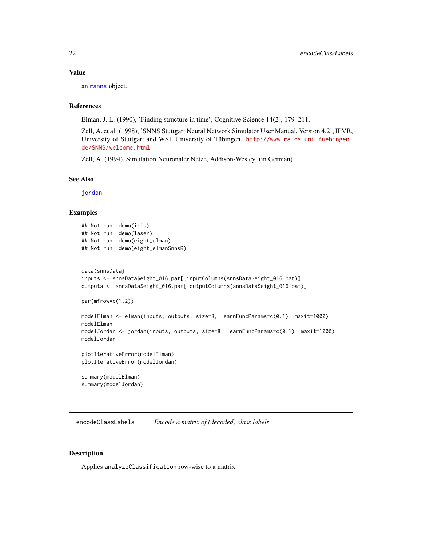#### <span id="page-21-0"></span>Value

an [rsnns](#page-42-1) object.

### References

Elman, J. L. (1990), 'Finding structure in time', Cognitive Science 14(2), 179–211.

Zell, A. et al. (1998), 'SNNS Stuttgart Neural Network Simulator User Manual, Version 4.2', IPVR, University of Stuttgart and WSI, University of Tübingen. [http://www.ra.cs.uni-tuebingen.](http://www.ra.cs.uni-tuebingen.de/SNNS/welcome.html) [de/SNNS/welcome.html](http://www.ra.cs.uni-tuebingen.de/SNNS/welcome.html)

Zell, A. (1994), Simulation Neuronaler Netze, Addison-Wesley. (in German)

### See Also

[jordan](#page-26-1)

#### Examples

```
## Not run: demo(iris)
## Not run: demo(laser)
## Not run: demo(eight_elman)
## Not run: demo(eight_elmanSnnsR)
```

```
data(snnsData)
inputs <- snnsData$eight_016.pat[,inputColumns(snnsData$eight_016.pat)]
outputs <- snnsData$eight_016.pat[,outputColumns(snnsData$eight_016.pat)]
```

```
par(mfrow=c(1,2))
```

```
modelElman <- elman(inputs, outputs, size=8, learnFuncParams=c(0.1), maxit=1000)
modelElman
modelJordan <- jordan(inputs, outputs, size=8, learnFuncParams=c(0.1), maxit=1000)
modelJordan
```

```
plotIterativeError(modelElman)
plotIterativeError(modelJordan)
```
summary(modelElman) summary(modelJordan)

<span id="page-21-1"></span>encodeClassLabels *Encode a matrix of (decoded) class labels*

### Description

Applies analyzeClassification row-wise to a matrix.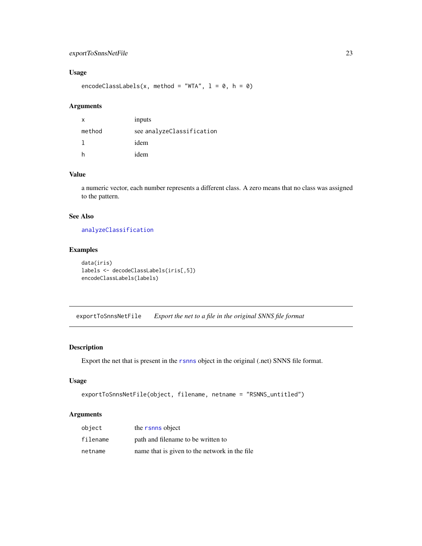### <span id="page-22-0"></span>exportToSnnsNetFile 23

### Usage

encodeClassLabels(x, method = "WTA",  $l = 0$ ,  $h = 0$ )

### Arguments

| x      | inputs                    |
|--------|---------------------------|
| method | see analyzeClassification |
|        | idem                      |
| h      | idem                      |

### Value

a numeric vector, each number represents a different class. A zero means that no class was assigned to the pattern.

### See Also

[analyzeClassification](#page-5-1)

## Examples

```
data(iris)
labels <- decodeClassLabels(iris[,5])
encodeClassLabels(labels)
```
<span id="page-22-1"></span>exportToSnnsNetFile *Export the net to a file in the original SNNS file format*

### Description

Export the net that is present in the [rsnns](#page-42-1) object in the original (.net) SNNS file format.

#### Usage

```
exportToSnnsNetFile(object, filename, netname = "RSNNS_untitled")
```
#### Arguments

| object   | the rsnns object                               |
|----------|------------------------------------------------|
| filename | path and filename to be written to             |
| netname  | name that is given to the network in the file. |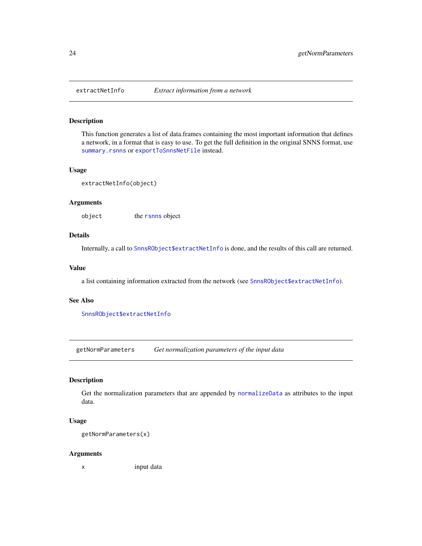<span id="page-23-0"></span>

### Description

This function generates a list of data.frames containing the most important information that defines a network, in a format that is easy to use. To get the full definition in the original SNNS format, use [summary.rsnns](#page-67-1) or [exportToSnnsNetFile](#page-22-1) instead.

### Usage

```
extractNetInfo(object)
```
#### Arguments

object the [rsnns](#page-42-1) object

### Details

Internally, a call to [SnnsRObject\\$extractNetInfo](#page-49-1) is done, and the results of this call are returned.

#### Value

a list containing information extracted from the network (see [SnnsRObject\\$extractNetInfo](#page-49-1)).

#### See Also

[SnnsRObject\\$extractNetInfo](#page-49-1)

<span id="page-23-1"></span>getNormParameters *Get normalization parameters of the input data*

#### Description

Get the normalization parameters that are appended by [normalizeData](#page-31-1) as attributes to the input data.

### Usage

```
getNormParameters(x)
```
#### Arguments

x input data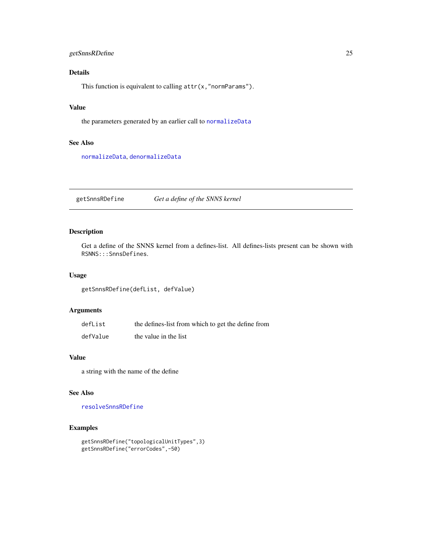### <span id="page-24-0"></span>getSnnsRDefine 25

### Details

This function is equivalent to calling attr(x,"normParams").

### Value

the parameters generated by an earlier call to [normalizeData](#page-31-1)

### See Also

[normalizeData](#page-31-1), [denormalizeData](#page-17-1)

getSnnsRDefine *Get a define of the SNNS kernel*

### Description

Get a define of the SNNS kernel from a defines-list. All defines-lists present can be shown with RSNNS:::SnnsDefines.

### Usage

getSnnsRDefine(defList, defValue)

### Arguments

| defList  | the defines-list from which to get the define from |
|----------|----------------------------------------------------|
| defValue | the value in the list                              |

### Value

a string with the name of the define

#### See Also

[resolveSnnsRDefine](#page-41-1)

### Examples

```
getSnnsRDefine("topologicalUnitTypes",3)
getSnnsRDefine("errorCodes",-50)
```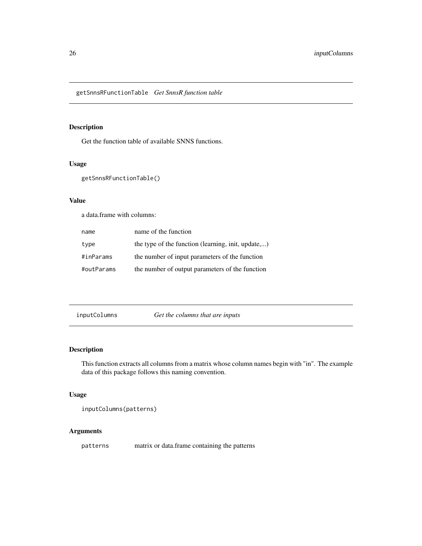<span id="page-25-0"></span>getSnnsRFunctionTable *Get SnnsR function table*

### Description

Get the function table of available SNNS functions.

### Usage

```
getSnnsRFunctionTable()
```
### Value

a data.frame with columns:

| name       | name of the function                               |
|------------|----------------------------------------------------|
| type       | the type of the function (learning, init, update,) |
| #inParams  | the number of input parameters of the function     |
| #outParams | the number of output parameters of the function    |

inputColumns *Get the columns that are inputs*

### Description

This function extracts all columns from a matrix whose column names begin with "in". The example data of this package follows this naming convention.

### Usage

```
inputColumns(patterns)
```
#### Arguments

patterns matrix or data.frame containing the patterns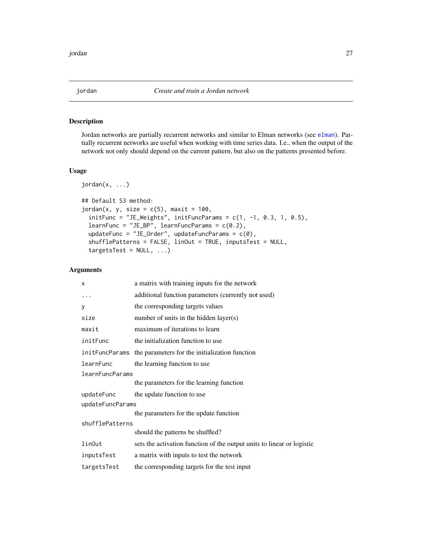<span id="page-26-1"></span><span id="page-26-0"></span>

### Description

Jordan networks are partially recurrent networks and similar to Elman networks (see [elman](#page-19-1)). Partially recurrent networks are useful when working with time series data. I.e., when the output of the network not only should depend on the current pattern, but also on the patterns presented before.

### Usage

```
jordan(x, ...)
## Default S3 method:
jordan(x, y, size = c(5), maxit = 100,initFunc = "JE\_Weights", initFuncParameters = c(1, -1, 0.3, 1, 0.5),learnFunc = "JE_BP", learnFuncParameters = c(0.2),updateFunc = "JE_Order", updateFuncParams = c(\theta),
  shufflePatterns = FALSE, linOut = TRUE, inputsTest = NULL,
  targestTest = NULL, ...)
```
### Arguments

| X                | a matrix with training inputs for the network                          |  |
|------------------|------------------------------------------------------------------------|--|
| .                | additional function parameters (currently not used)                    |  |
| У                | the corresponding targets values                                       |  |
| size             | number of units in the hidden layer(s)                                 |  |
| maxit            | maximum of iterations to learn                                         |  |
| initFunc         | the initialization function to use                                     |  |
| initFuncParams   | the parameters for the initialization function                         |  |
| learnFunc        | the learning function to use                                           |  |
| learnFuncParams  |                                                                        |  |
|                  | the parameters for the learning function                               |  |
| updateFunc       | the update function to use                                             |  |
| updateFuncParams |                                                                        |  |
|                  | the parameters for the update function                                 |  |
| shufflePatterns  |                                                                        |  |
|                  | should the patterns be shuffled?                                       |  |
| linOut           | sets the activation function of the output units to linear or logistic |  |
| inputsTest       | a matrix with inputs to test the network                               |  |
| targetsTest      | the corresponding targets for the test input                           |  |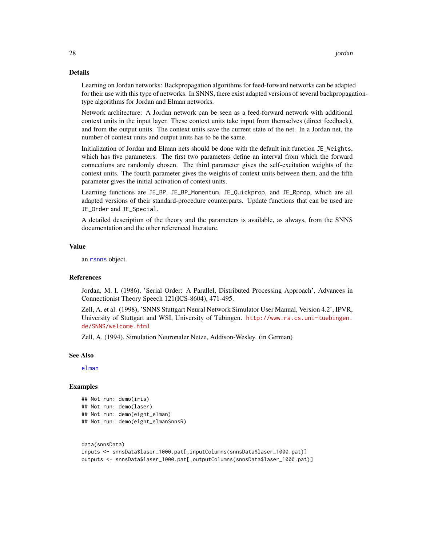### Details

Learning on Jordan networks: Backpropagation algorithms for feed-forward networks can be adapted for their use with this type of networks. In SNNS, there exist adapted versions of several backpropagationtype algorithms for Jordan and Elman networks.

Network architecture: A Jordan network can be seen as a feed-forward network with additional context units in the input layer. These context units take input from themselves (direct feedback), and from the output units. The context units save the current state of the net. In a Jordan net, the number of context units and output units has to be the same.

Initialization of Jordan and Elman nets should be done with the default init function JE\_Weights, which has five parameters. The first two parameters define an interval from which the forward connections are randomly chosen. The third parameter gives the self-excitation weights of the context units. The fourth parameter gives the weights of context units between them, and the fifth parameter gives the initial activation of context units.

Learning functions are JE\_BP, JE\_BP\_Momentum, JE\_Quickprop, and JE\_Rprop, which are all adapted versions of their standard-procedure counterparts. Update functions that can be used are JE\_Order and JE\_Special.

A detailed description of the theory and the parameters is available, as always, from the SNNS documentation and the other referenced literature.

### Value

an [rsnns](#page-42-1) object.

#### References

Jordan, M. I. (1986), 'Serial Order: A Parallel, Distributed Processing Approach', Advances in Connectionist Theory Speech 121(ICS-8604), 471-495.

Zell, A. et al. (1998), 'SNNS Stuttgart Neural Network Simulator User Manual, Version 4.2', IPVR, University of Stuttgart and WSI, University of Tübingen. [http://www.ra.cs.uni-tuebingen.](http://www.ra.cs.uni-tuebingen.de/SNNS/welcome.html) [de/SNNS/welcome.html](http://www.ra.cs.uni-tuebingen.de/SNNS/welcome.html)

Zell, A. (1994), Simulation Neuronaler Netze, Addison-Wesley. (in German)

#### See Also

[elman](#page-19-1)

#### Examples

```
## Not run: demo(iris)
## Not run: demo(laser)
## Not run: demo(eight_elman)
## Not run: demo(eight_elmanSnnsR)
```

```
data(snnsData)
inputs <- snnsData$laser_1000.pat[,inputColumns(snnsData$laser_1000.pat)]
outputs <- snnsData$laser_1000.pat[,outputColumns(snnsData$laser_1000.pat)]
```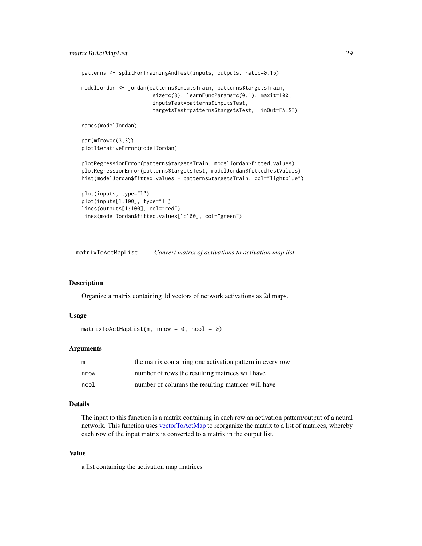```
patterns <- splitForTrainingAndTest(inputs, outputs, ratio=0.15)
modelJordan <- jordan(patterns$inputsTrain, patterns$targetsTrain,
                       size=c(8), learnFuncParams=c(0.1), maxit=100,
                       inputsTest=patterns$inputsTest,
                       targetsTest=patterns$targetsTest, linOut=FALSE)
names(modelJordan)
par(mfrow=c(3,3))
plotIterativeError(modelJordan)
plotRegressionError(patterns$targetsTrain, modelJordan$fitted.values)
plotRegressionError(patterns$targetsTest, modelJordan$fittedTestValues)
hist(modelJordan$fitted.values - patterns$targetsTrain, col="lightblue")
plot(inputs, type="l")
plot(inputs[1:100], type="l")
```

```
lines(outputs[1:100], col="red")
lines(modelJordan$fitted.values[1:100], col="green")
```
<span id="page-28-1"></span>matrixToActMapList *Convert matrix of activations to activation map list*

#### Description

Organize a matrix containing 1d vectors of network activations as 2d maps.

#### Usage

```
matrixToActMapList(m, nrow = 0, ncol = 0)
```
### Arguments

|      | the matrix containing one activation pattern in every row |
|------|-----------------------------------------------------------|
| nrow | number of rows the resulting matrices will have           |
| ncol | number of columns the resulting matrices will have        |

#### Details

The input to this function is a matrix containing in each row an activation pattern/output of a neural network. This function uses [vectorToActMap](#page-69-1) to reorganize the matrix to a list of matrices, whereby each row of the input matrix is converted to a matrix in the output list.

#### Value

a list containing the activation map matrices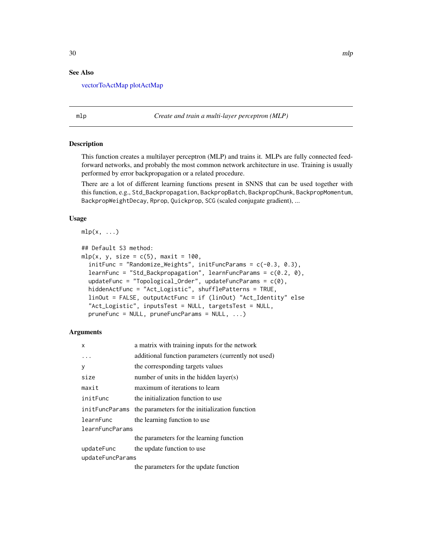#### <span id="page-29-0"></span>See Also

[vectorToActMap](#page-69-1) [plotActMap](#page-34-1)

<span id="page-29-1"></span>mlp *Create and train a multi-layer perceptron (MLP)*

### Description

This function creates a multilayer perceptron (MLP) and trains it. MLPs are fully connected feedforward networks, and probably the most common network architecture in use. Training is usually performed by error backpropagation or a related procedure.

There are a lot of different learning functions present in SNNS that can be used together with this function, e.g., Std\_Backpropagation, BackpropBatch, BackpropChunk, BackpropMomentum, BackpropWeightDecay, Rprop, Quickprop, SCG (scaled conjugate gradient), ...

#### Usage

 $mlp(x, \ldots)$ ## Default S3 method: mlp(x, y, size =  $c(5)$ , maxit = 100, initFunc = "Randomize\_Weights", initFuncParams = c(-0.3, 0.3), learnFunc = "Std\_Backpropagation", learnFuncParams = c(0.2, 0), updateFunc = "Topological\_Order", updateFuncParams = c(0), hiddenActFunc = "Act\_Logistic", shufflePatterns = TRUE, linOut = FALSE, outputActFunc = if (linOut) "Act\_Identity" else "Act\_Logistic", inputsTest = NULL, targetsTest = NULL, pruneFunc = NULL, pruneFuncParams = NULL, ...)

#### Arguments

| X                | a matrix with training inputs for the network                 |  |
|------------------|---------------------------------------------------------------|--|
| .                | additional function parameters (currently not used)           |  |
| V                | the corresponding targets values                              |  |
| size             | number of units in the hidden layer(s)                        |  |
| maxit            | maximum of iterations to learn                                |  |
| initFunc         | the initialization function to use                            |  |
|                  | initFuncParams the parameters for the initialization function |  |
| learnFunc        | the learning function to use                                  |  |
| learnFuncParams  |                                                               |  |
|                  | the parameters for the learning function                      |  |
| updateFunc       | the update function to use                                    |  |
| updateFuncParams |                                                               |  |
|                  | $\sim$ $\sim$ $\sim$ $\sim$ $\sim$ $\sim$ $\sim$              |  |

the parameters for the update function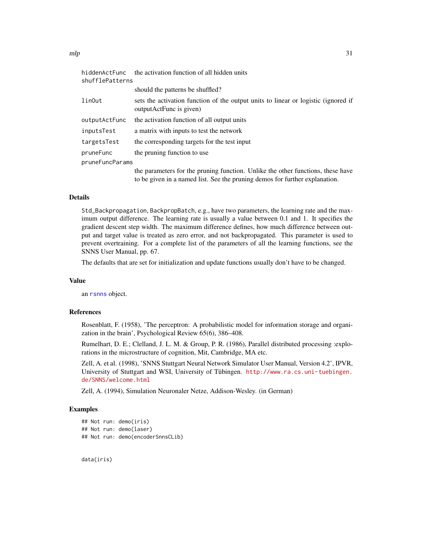| hiddenActFunc<br>shufflePatterns | the activation function of all hidden units                                                                   |  |
|----------------------------------|---------------------------------------------------------------------------------------------------------------|--|
|                                  | should the patterns be shuffled?                                                                              |  |
| linOut                           | sets the activation function of the output units to linear or logistic (ignored if<br>outputActFunc is given) |  |
| outputActFunc                    | the activation function of all output units                                                                   |  |
| inputsTest                       | a matrix with inputs to test the network                                                                      |  |
| targetsTest                      | the corresponding targets for the test input                                                                  |  |
| pruneFunc                        | the pruning function to use                                                                                   |  |
| pruneFuncParams                  |                                                                                                               |  |
|                                  | the parameters for the pruning function. Unlike the other functions, these have                               |  |
|                                  | to be given in a named list. See the pruning demos for further explanation.                                   |  |

### Details

Std\_Backpropagation, BackpropBatch, e.g., have two parameters, the learning rate and the maximum output difference. The learning rate is usually a value between 0.1 and 1. It specifies the gradient descent step width. The maximum difference defines, how much difference between output and target value is treated as zero error, and not backpropagated. This parameter is used to prevent overtraining. For a complete list of the parameters of all the learning functions, see the SNNS User Manual, pp. 67.

The defaults that are set for initialization and update functions usually don't have to be changed.

### Value

an [rsnns](#page-42-1) object.

### References

Rosenblatt, F. (1958), 'The perceptron: A probabilistic model for information storage and organization in the brain', Psychological Review 65(6), 386–408.

Rumelhart, D. E.; Clelland, J. L. M. & Group, P. R. (1986), Parallel distributed processing :explorations in the microstructure of cognition, Mit, Cambridge, MA etc.

Zell, A. et al. (1998), 'SNNS Stuttgart Neural Network Simulator User Manual, Version 4.2', IPVR, University of Stuttgart and WSI, University of Tübingen. [http://www.ra.cs.uni-tuebingen.](http://www.ra.cs.uni-tuebingen.de/SNNS/welcome.html) [de/SNNS/welcome.html](http://www.ra.cs.uni-tuebingen.de/SNNS/welcome.html)

Zell, A. (1994), Simulation Neuronaler Netze, Addison-Wesley. (in German)

#### Examples

```
## Not run: demo(iris)
## Not run: demo(laser)
## Not run: demo(encoderSnnsCLib)
```
data(iris)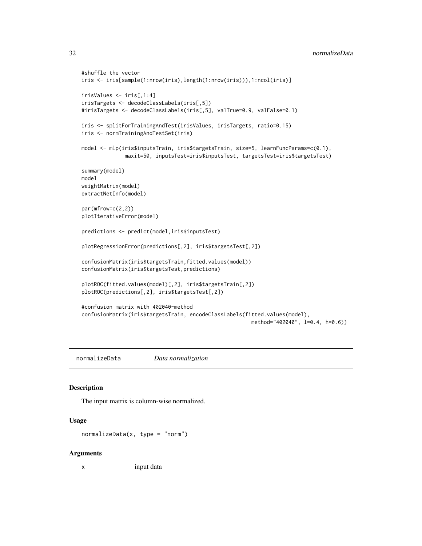```
#shuffle the vector
iris <- iris[sample(1:nrow(iris),length(1:nrow(iris))),1:ncol(iris)]
irisValues <- iris[,1:4]
irisTargets <- decodeClassLabels(iris[,5])
#irisTargets <- decodeClassLabels(iris[,5], valTrue=0.9, valFalse=0.1)
iris <- splitForTrainingAndTest(irisValues, irisTargets, ratio=0.15)
iris <- normTrainingAndTestSet(iris)
model <- mlp(iris$inputsTrain, iris$targetsTrain, size=5, learnFuncParams=c(0.1),
             maxit=50, inputsTest=iris$inputsTest, targetsTest=iris$targetsTest)
summary(model)
model
weightMatrix(model)
extractNetInfo(model)
par(mfrow=c(2,2))
plotIterativeError(model)
predictions <- predict(model,iris$inputsTest)
plotRegressionError(predictions[,2], iris$targetsTest[,2])
confusionMatrix(iris$targetsTrain,fitted.values(model))
confusionMatrix(iris$targetsTest,predictions)
plotROC(fitted.values(model)[,2], iris$targetsTrain[,2])
plotROC(predictions[,2], iris$targetsTest[,2])
#confusion matrix with 402040-method
confusionMatrix(iris$targetsTrain, encodeClassLabels(fitted.values(model),
                                                       method="402040", l=0.4, h=0.6))
```
<span id="page-31-1"></span>normalizeData *Data normalization*

#### Description

The input matrix is column-wise normalized.

#### Usage

```
normalizeData(x, type = "norm")
```
#### Arguments

x input data

<span id="page-31-0"></span>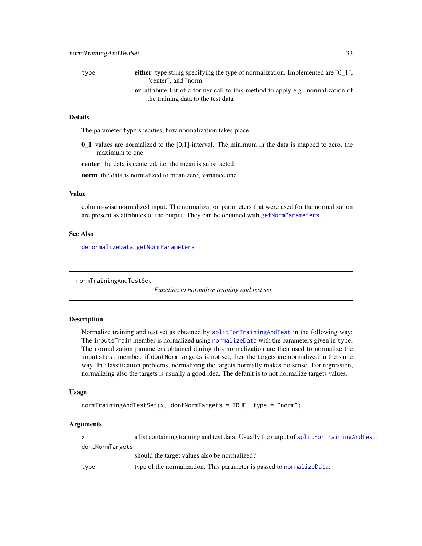<span id="page-32-0"></span>type either type string specifying the type of normalization. Implemented are "0\_1", "center", and "norm"

or attribute list of a former call to this method to apply e.g. normalization of the training data to the test data

### Details

The parameter type specifies, how normalization takes place:

0\_1 values are normalized to the [0,1]-interval. The minimum in the data is mapped to zero, the maximum to one.

center the data is centered, i.e. the mean is substracted

norm the data is normalized to mean zero, variance one

### Value

column-wise normalized input. The normalization parameters that were used for the normalization are present as attributes of the output. They can be obtained with [getNormParameters](#page-23-1).

#### See Also

[denormalizeData](#page-17-1), [getNormParameters](#page-23-1)

normTrainingAndTestSet

*Function to normalize training and test set*

#### Description

Normalize training and test set as obtained by [splitForTrainingAndTest](#page-66-1) in the following way: The inputsTrain member is normalized using [normalizeData](#page-31-1) with the parameters given in type. The normalization parameters obtained during this normalization are then used to normalize the inputsTest member. if dontNormTargets is not set, then the targets are normalized in the same way. In classification problems, normalizing the targets normally makes no sense. For regression, normalizing also the targets is usually a good idea. The default is to not normalize targets values.

#### Usage

```
normTrainingAndTestSet(x, donthormTargets = TRUE, type = "norm")
```
#### Arguments

x a list containing training and test data. Usually the output of [splitForTrainingAndTest](#page-66-1). dontNormTargets should the target values also be normalized?

type type of the normalization. This parameter is passed to [normalizeData](#page-31-1).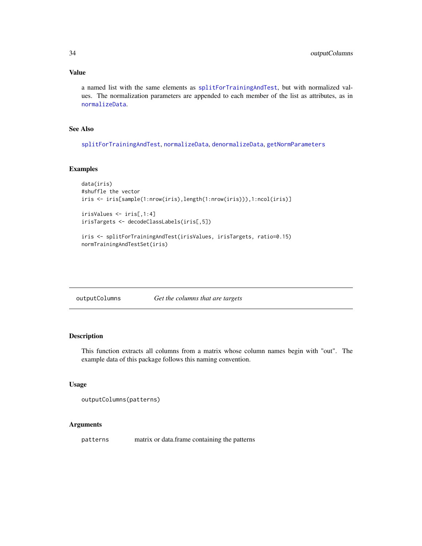### <span id="page-33-0"></span>Value

a named list with the same elements as [splitForTrainingAndTest](#page-66-1), but with normalized values. The normalization parameters are appended to each member of the list as attributes, as in [normalizeData](#page-31-1).

### See Also

[splitForTrainingAndTest](#page-66-1), [normalizeData](#page-31-1), [denormalizeData](#page-17-1), [getNormParameters](#page-23-1)

#### Examples

```
data(iris)
#shuffle the vector
iris <- iris[sample(1:nrow(iris),length(1:nrow(iris))),1:ncol(iris)]
irisValues <- iris[,1:4]
irisTargets <- decodeClassLabels(iris[,5])
```

```
iris <- splitForTrainingAndTest(irisValues, irisTargets, ratio=0.15)
normTrainingAndTestSet(iris)
```
### Description

This function extracts all columns from a matrix whose column names begin with "out". The example data of this package follows this naming convention.

#### Usage

```
outputColumns(patterns)
```
### Arguments

patterns matrix or data.frame containing the patterns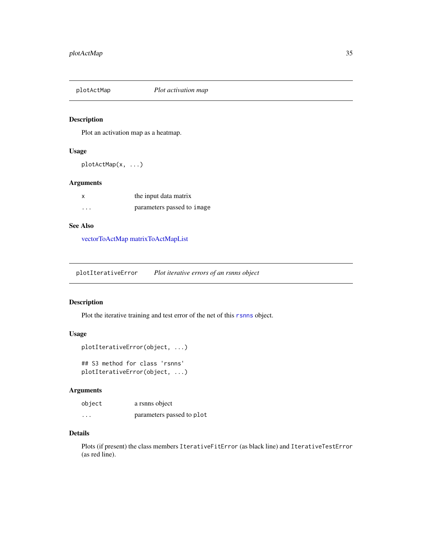<span id="page-34-1"></span><span id="page-34-0"></span>

### Description

Plot an activation map as a heatmap.

### Usage

plotActMap(x, ...)

#### Arguments

|   | the input data matrix      |
|---|----------------------------|
| . | parameters passed to image |

### See Also

[vectorToActMap](#page-69-1) [matrixToActMapList](#page-28-1)

plotIterativeError *Plot iterative errors of an rsnns object*

### Description

Plot the iterative training and test error of the net of this [rsnns](#page-42-1) object.

### Usage

```
plotIterativeError(object, ...)
```
## S3 method for class 'rsnns' plotIterativeError(object, ...)

### Arguments

| object   | a rsnns object            |
|----------|---------------------------|
| $\cdots$ | parameters passed to plot |

### Details

Plots (if present) the class members IterativeFitError (as black line) and IterativeTestError (as red line).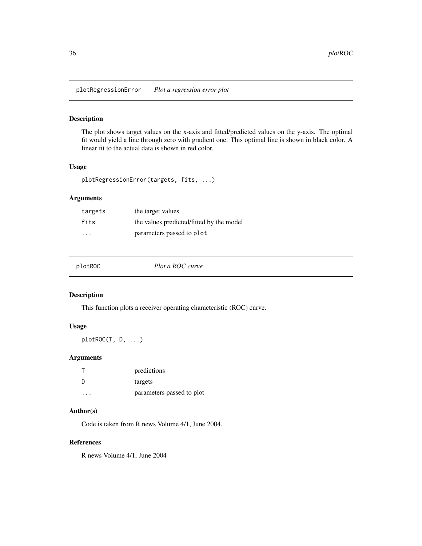<span id="page-35-0"></span>plotRegressionError *Plot a regression error plot*

### Description

The plot shows target values on the x-axis and fitted/predicted values on the y-axis. The optimal fit would yield a line through zero with gradient one. This optimal line is shown in black color. A linear fit to the actual data is shown in red color.

### Usage

```
plotRegressionError(targets, fits, ...)
```
### Arguments

| targets | the target values                        |
|---------|------------------------------------------|
| fits    | the values predicted/fitted by the model |
| .       | parameters passed to plot                |

| plotROC | Plot a ROC curve |  |
|---------|------------------|--|
|---------|------------------|--|

### Description

This function plots a receiver operating characteristic (ROC) curve.

### Usage

plotROC(T, D, ...)

### Arguments

|         | predictions               |
|---------|---------------------------|
| -n      | targets                   |
| $\cdot$ | parameters passed to plot |

#### Author(s)

Code is taken from R news Volume 4/1, June 2004.

### References

R news Volume 4/1, June 2004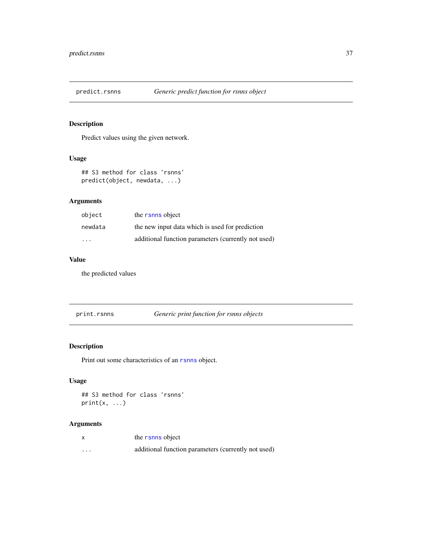# Description

Predict values using the given network.

# Usage

```
## S3 method for class 'rsnns'
predict(object, newdata, ...)
```
# Arguments

| object                  | the rsnns object                                    |
|-------------------------|-----------------------------------------------------|
| newdata                 | the new input data which is used for prediction     |
| $\cdot$ $\cdot$ $\cdot$ | additional function parameters (currently not used) |

# Value

the predicted values

print.rsnns *Generic print function for rsnns objects*

# Description

Print out some characteristics of an [rsnns](#page-42-0) object.

# Usage

```
## S3 method for class 'rsnns'
print(x, \ldots)
```

|         | the rsnns object                                    |
|---------|-----------------------------------------------------|
| $\cdot$ | additional function parameters (currently not used) |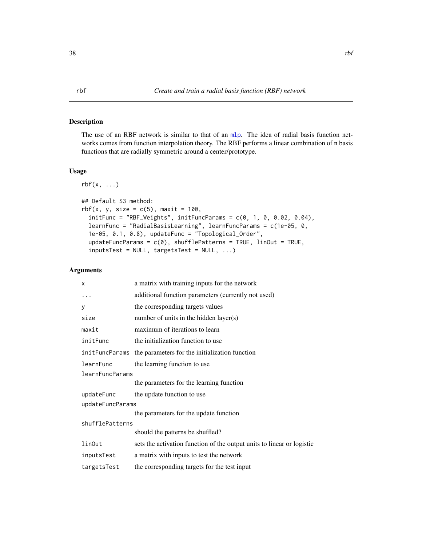# <span id="page-37-0"></span>Description

The use of an RBF network is similar to that of an [mlp](#page-29-0). The idea of radial basis function networks comes from function interpolation theory. The RBF performs a linear combination of n basis functions that are radially symmetric around a center/prototype.

# Usage

```
rbf(x, \ldots)## Default S3 method:
rbf(x, y, size = c(5), maxit = 100,
  initFunc = "RBF_Weights", initFuncParameters = c(0, 1, 0, 0.02, 0.04),learnFunc = "RadialBasisLearning", learnFuncParams = c(1e-05, 0,
  1e-05, 0.1, 0.8), updateFunc = "Topological_Order",
  updateFuncParams = c(\emptyset), shufflePatterns = TRUE, linOut = TRUE,
  inputsTest = NULL, targetsTest = NULL, ...)
```

| X                | a matrix with training inputs for the network                          |  |
|------------------|------------------------------------------------------------------------|--|
| .                | additional function parameters (currently not used)                    |  |
| y                | the corresponding targets values                                       |  |
| size             | number of units in the hidden layer(s)                                 |  |
| maxit            | maximum of iterations to learn                                         |  |
| initFunc         | the initialization function to use                                     |  |
|                  | initFuncParams the parameters for the initialization function          |  |
| learnFunc        | the learning function to use                                           |  |
| learnFuncParams  |                                                                        |  |
|                  | the parameters for the learning function                               |  |
| updateFunc       | the update function to use                                             |  |
| updateFuncParams |                                                                        |  |
|                  | the parameters for the update function                                 |  |
| shufflePatterns  |                                                                        |  |
|                  | should the patterns be shuffled?                                       |  |
| linOut           | sets the activation function of the output units to linear or logistic |  |
| inputsTest       | a matrix with inputs to test the network                               |  |
| targetsTest      | the corresponding targets for the test input                           |  |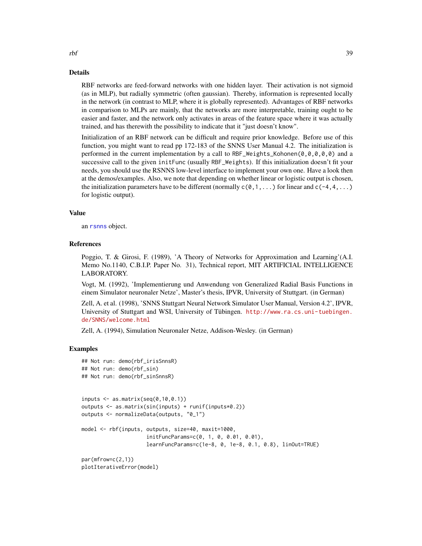#### Details

RBF networks are feed-forward networks with one hidden layer. Their activation is not sigmoid (as in MLP), but radially symmetric (often gaussian). Thereby, information is represented locally in the network (in contrast to MLP, where it is globally represented). Advantages of RBF networks in comparison to MLPs are mainly, that the networks are more interpretable, training ought to be easier and faster, and the network only activates in areas of the feature space where it was actually trained, and has therewith the possibility to indicate that it "just doesn't know".

Initialization of an RBF network can be difficult and require prior knowledge. Before use of this function, you might want to read pp 172-183 of the SNNS User Manual 4.2. The initialization is performed in the current implementation by a call to RBF\_Weights\_Kohonen(0,0,0,0,0) and a successive call to the given initFunc (usually RBF\_Weights). If this initialization doesn't fit your needs, you should use the RSNNS low-level interface to implement your own one. Have a look then at the demos/examples. Also, we note that depending on whether linear or logistic output is chosen, the initialization parameters have to be different (normally  $c(0,1,\ldots)$  for linear and  $c(-4,4,\ldots)$ ) for logistic output).

#### Value

an [rsnns](#page-42-0) object.

#### References

Poggio, T. & Girosi, F. (1989), 'A Theory of Networks for Approximation and Learning'(A.I. Memo No.1140, C.B.I.P. Paper No. 31), Technical report, MIT ARTIFICIAL INTELLIGENCE LABORATORY.

Vogt, M. (1992), 'Implementierung und Anwendung von Generalized Radial Basis Functions in einem Simulator neuronaler Netze', Master's thesis, IPVR, University of Stuttgart. (in German)

Zell, A. et al. (1998), 'SNNS Stuttgart Neural Network Simulator User Manual, Version 4.2', IPVR, University of Stuttgart and WSI, University of Tübingen. [http://www.ra.cs.uni-tuebingen.](http://www.ra.cs.uni-tuebingen.de/SNNS/welcome.html) [de/SNNS/welcome.html](http://www.ra.cs.uni-tuebingen.de/SNNS/welcome.html)

Zell, A. (1994), Simulation Neuronaler Netze, Addison-Wesley. (in German)

#### Examples

```
## Not run: demo(rbf_irisSnnsR)
## Not run: demo(rbf_sin)
## Not run: demo(rbf_sinSnnsR)
inputs \leftarrow as.matrix(seq(0,10,0.1))outputs <- as.matrix(sin(inputs) + runif(inputs*0.2))
outputs <- normalizeData(outputs, "0_1")
model <- rbf(inputs, outputs, size=40, maxit=1000,
                     initFuncParams=c(0, 1, 0, 0.01, 0.01),
                     learnFuncParams=c(1e-8, 0, 1e-8, 0.1, 0.8), linOut=TRUE)
par(mfrow=c(2,1))
plotIterativeError(model)
```
rbf 39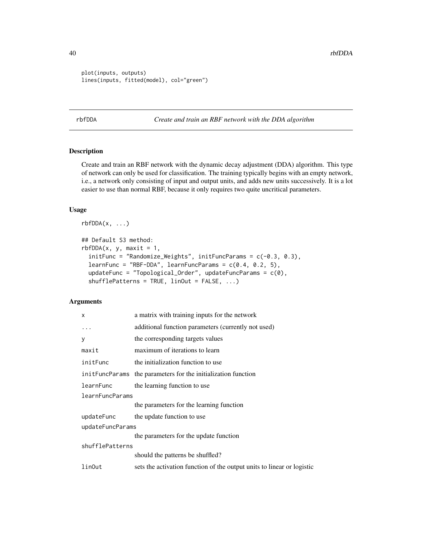```
plot(inputs, outputs)
lines(inputs, fitted(model), col="green")
```
<span id="page-39-0"></span>rbfDDA *Create and train an RBF network with the DDA algorithm*

# Description

Create and train an RBF network with the dynamic decay adjustment (DDA) algorithm. This type of network can only be used for classification. The training typically begins with an empty network, i.e., a network only consisting of input and output units, and adds new units successively. It is a lot easier to use than normal RBF, because it only requires two quite uncritical parameters.

# Usage

 $rbfDDA(x, \ldots)$ 

```
## Default S3 method:
rbfDDA(x, y, maxit = 1,initFunc = "Randomize_Weights", initFuncParams = c(-0.3, 0.3),
  learnFunc = "RBF-DDA", learnFuncParams = c(0.4, 0.2, 5),
 updateFunc = "Topological_Order", updateFuncParams = c(0),
  shufflePatterns = TRUE, linOut = FALSE, ...)
```

| x                | a matrix with training inputs for the network                          |  |
|------------------|------------------------------------------------------------------------|--|
| $\ddots$ .       | additional function parameters (currently not used)                    |  |
| У                | the corresponding targets values                                       |  |
| maxit            | maximum of iterations to learn                                         |  |
| initFunc         | the initialization function to use                                     |  |
|                  | initerial the parameters for the initialization function               |  |
| learnFunc        | the learning function to use                                           |  |
| learnFuncParams  |                                                                        |  |
|                  | the parameters for the learning function                               |  |
| updateFunc       | the update function to use                                             |  |
| updateFuncParams |                                                                        |  |
|                  | the parameters for the update function                                 |  |
| shufflePatterns  |                                                                        |  |
|                  | should the patterns be shuffled?                                       |  |
| linOut           | sets the activation function of the output units to linear or logistic |  |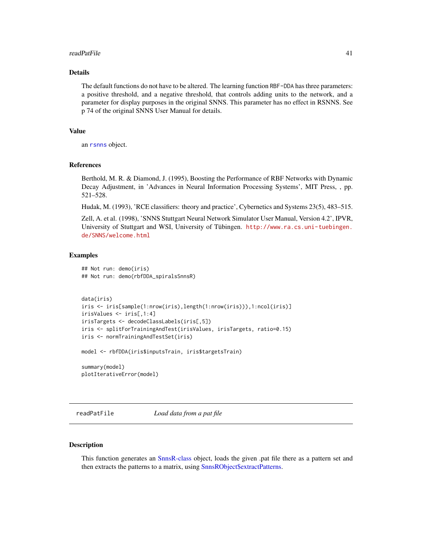#### readPatFile 41

# Details

The default functions do not have to be altered. The learning function RBF-DDA has three parameters: a positive threshold, and a negative threshold, that controls adding units to the network, and a parameter for display purposes in the original SNNS. This parameter has no effect in RSNNS. See p 74 of the original SNNS User Manual for details.

#### Value

an [rsnns](#page-42-0) object.

#### References

Berthold, M. R. & Diamond, J. (1995), Boosting the Performance of RBF Networks with Dynamic Decay Adjustment, in 'Advances in Neural Information Processing Systems', MIT Press, , pp. 521–528.

Hudak, M. (1993), 'RCE classifiers: theory and practice', Cybernetics and Systems 23(5), 483–515.

Zell, A. et al. (1998), 'SNNS Stuttgart Neural Network Simulator User Manual, Version 4.2', IPVR, University of Stuttgart and WSI, University of Tübingen. [http://www.ra.cs.uni-tuebingen.](http://www.ra.cs.uni-tuebingen.de/SNNS/welcome.html) [de/SNNS/welcome.html](http://www.ra.cs.uni-tuebingen.de/SNNS/welcome.html)

#### Examples

```
## Not run: demo(iris)
## Not run: demo(rbfDDA_spiralsSnnsR)
```

```
data(iris)
iris <- iris[sample(1:nrow(iris),length(1:nrow(iris))),1:ncol(iris)]
irisValues <- iris[,1:4]
irisTargets <- decodeClassLabels(iris[,5])
iris <- splitForTrainingAndTest(irisValues, irisTargets, ratio=0.15)
iris <- normTrainingAndTestSet(iris)
```
model <- rbfDDA(iris\$inputsTrain, iris\$targetsTrain)

summary(model) plotIterativeError(model)

<span id="page-40-0"></span>readPatFile *Load data from a pat file*

## Description

This function generates an [SnnsR-class](#page-44-0) object, loads the given .pat file there as a pattern set and then extracts the patterns to a matrix, using [SnnsRObject\\$extractPatterns.](#page-50-0)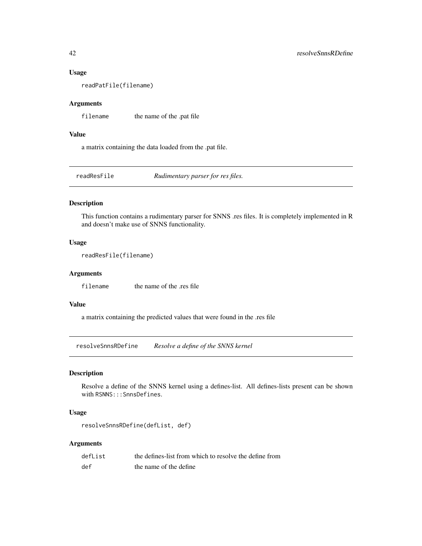#### Usage

readPatFile(filename)

# Arguments

filename the name of the .pat file

## Value

a matrix containing the data loaded from the .pat file.

readResFile *Rudimentary parser for res files.*

#### Description

This function contains a rudimentary parser for SNNS .res files. It is completely implemented in R and doesn't make use of SNNS functionality.

# Usage

```
readResFile(filename)
```
# Arguments

filename the name of the .res file

# Value

a matrix containing the predicted values that were found in the .res file

resolveSnnsRDefine *Resolve a define of the SNNS kernel*

#### Description

Resolve a define of the SNNS kernel using a defines-list. All defines-lists present can be shown with RSNNS:::SnnsDefines.

# Usage

```
resolveSnnsRDefine(defList, def)
```

| defList | the defines-list from which to resolve the define from |
|---------|--------------------------------------------------------|
| def     | the name of the define                                 |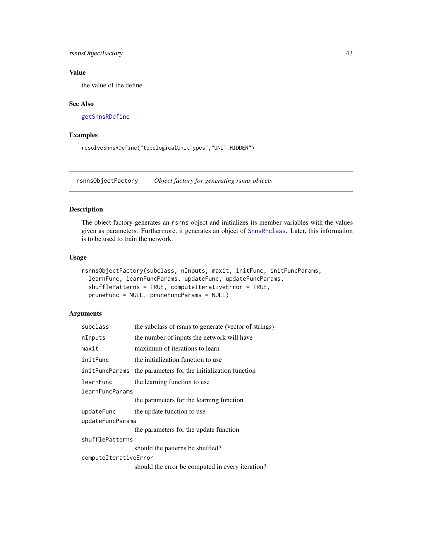# <span id="page-42-1"></span>rsnnsObjectFactory 43

# Value

the value of the define

# See Also

[getSnnsRDefine](#page-24-0)

# Examples

resolveSnnsRDefine("topologicalUnitTypes","UNIT\_HIDDEN")

rsnnsObjectFactory *Object factory for generating rsnns objects*

# <span id="page-42-0"></span>Description

The object factory generates an rsnns object and initializes its member variables with the values given as parameters. Furthermore, it generates an object of [SnnsR-class](#page-44-0). Later, this information is to be used to train the network.

#### Usage

```
rsnnsObjectFactory(subclass, nInputs, maxit, initFunc, initFuncParams,
  learnFunc, learnFuncParams, updateFunc, updateFuncParams,
  shufflePatterns = TRUE, computeIterativeError = TRUE,
 pruneFunc = NULL, pruneFuncParams = NULL)
```

| subclass              | the subclass of rsnns to generate (vector of strings)          |  |
|-----------------------|----------------------------------------------------------------|--|
| nInputs               | the number of inputs the network will have                     |  |
| maxit                 | maximum of iterations to learn                                 |  |
| initFunc              | the initialization function to use                             |  |
|                       | init FuncParams the parameters for the initialization function |  |
| learnFunc             | the learning function to use                                   |  |
| learnFuncParams       |                                                                |  |
|                       | the parameters for the learning function                       |  |
| updateFunc            | the update function to use                                     |  |
| updateFuncParams      |                                                                |  |
|                       | the parameters for the update function                         |  |
| shufflePatterns       |                                                                |  |
|                       | should the patterns be shuffled?                               |  |
| computeIterativeError |                                                                |  |
|                       | should the error be computed in every iteration?               |  |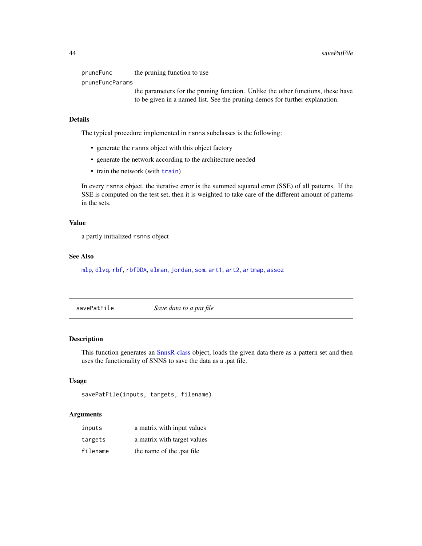<span id="page-43-0"></span>pruneFunc the pruning function to use pruneFuncParams the parameters for the pruning function. Unlike the other functions, these have to be given in a named list. See the pruning demos for further explanation.

#### Details

The typical procedure implemented in rsnns subclasses is the following:

- generate the rsnns object with this object factory
- generate the network according to the architecture needed
- [train](#page-68-0) the network (with train)

In every rsnns object, the iterative error is the summed squared error (SSE) of all patterns. If the SSE is computed on the test set, then it is weighted to take care of the different amount of patterns in the sets.

#### Value

a partly initialized rsnns object

#### See Also

[mlp](#page-29-0), [dlvq](#page-18-0), [rbf](#page-37-0), [rbfDDA](#page-39-0), [elman](#page-19-0), [jordan](#page-26-0), [som](#page-63-0), [art1](#page-6-0), [art2](#page-9-0), [artmap](#page-11-0), [assoz](#page-13-0)

savePatFile *Save data to a pat file*

# Description

This function generates an [SnnsR-class](#page-44-0) object, loads the given data there as a pattern set and then uses the functionality of SNNS to save the data as a .pat file.

#### Usage

```
savePatFile(inputs, targets, filename)
```

| inputs   | a matrix with input values  |
|----------|-----------------------------|
| targets  | a matrix with target values |
| filename | the name of the .pat file   |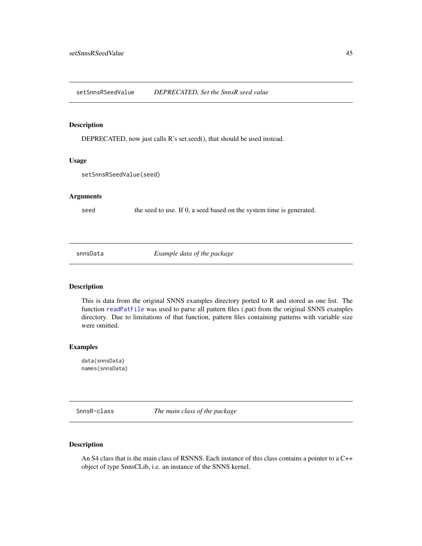<span id="page-44-1"></span>setSnnsRSeedValue *DEPRECATED, Set the SnnsR seed value*

# Description

DEPRECATED, now just calls R's set.seed(), that should be used instead.

#### Usage

setSnnsRSeedValue(seed)

#### Arguments

seed the seed to use. If 0, a seed based on the system time is generated.

snnsData *Example data of the package*

#### Description

This is data from the original SNNS examples directory ported to R and stored as one list. The function [readPatFile](#page-40-0) was used to parse all pattern files (.pat) from the original SNNS examples directory. Due to limitations of that function, pattern files containing patterns with variable size were omitted.

#### Examples

data(snnsData) names(snnsData)

<span id="page-44-0"></span>SnnsR-class *The main class of the package*

# Description

An S4 class that is the main class of RSNNS. Each instance of this class contains a pointer to a C++ object of type SnnsCLib, i.e. an instance of the SNNS kernel.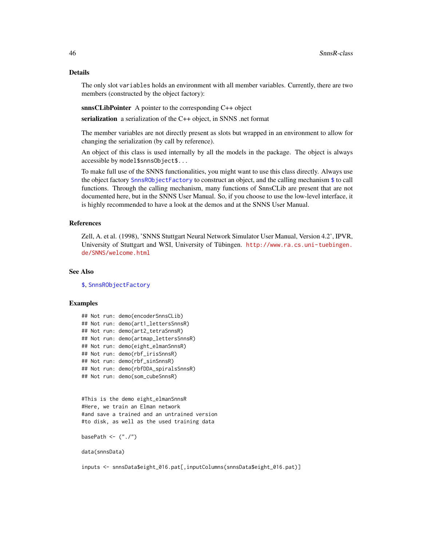# Details

The only slot variables holds an environment with all member variables. Currently, there are two members (constructed by the object factory):

snnsCLibPointer A pointer to the corresponding C++ object

serialization a serialization of the C++ object, in SNNS .net format

The member variables are not directly present as slots but wrapped in an environment to allow for changing the serialization (by call by reference).

An object of this class is used internally by all the models in the package. The object is always accessible by model\$snnsObject\$...

To make full use of the SNNS functionalities, you might want to use this class directly. Always use the object factory [SnnsRObjectFactory](#page-46-0) to construct an object, and the calling mechanism [\\$](#page-47-0) to call functions. Through the calling mechanism, many functions of SnnsCLib are present that are not documented here, but in the SNNS User Manual. So, if you choose to use the low-level interface, it is highly recommended to have a look at the demos and at the SNNS User Manual.

# References

Zell, A. et al. (1998), 'SNNS Stuttgart Neural Network Simulator User Manual, Version 4.2', IPVR, University of Stuttgart and WSI, University of Tübingen. [http://www.ra.cs.uni-tuebingen.](http://www.ra.cs.uni-tuebingen.de/SNNS/welcome.html) [de/SNNS/welcome.html](http://www.ra.cs.uni-tuebingen.de/SNNS/welcome.html)

#### See Also

[\\$](#page-47-0), [SnnsRObjectFactory](#page-46-0)

#### Examples

```
## Not run: demo(encoderSnnsCLib)
## Not run: demo(art1_lettersSnnsR)
## Not run: demo(art2_tetraSnnsR)
## Not run: demo(artmap_lettersSnnsR)
## Not run: demo(eight_elmanSnnsR)
## Not run: demo(rbf_irisSnnsR)
## Not run: demo(rbf_sinSnnsR)
## Not run: demo(rbfDDA_spiralsSnnsR)
## Not run: demo(som_cubeSnnsR)
```

```
#This is the demo eight_elmanSnnsR
#Here, we train an Elman network
#and save a trained and an untrained version
#to disk, as well as the used training data
```
basePath <- ("./")

data(snnsData)

inputs <- snnsData\$eight\_016.pat[,inputColumns(snnsData\$eight\_016.pat)]

<span id="page-45-0"></span>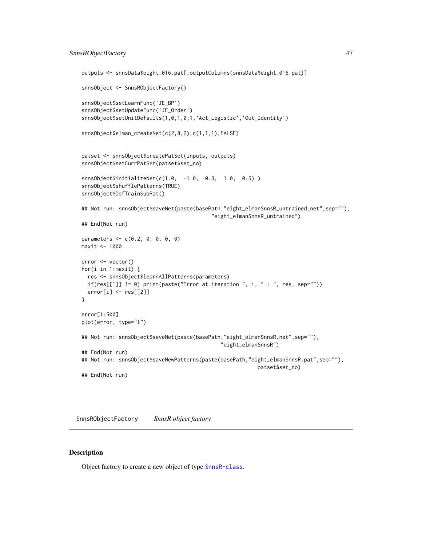```
outputs <- snnsData$eight_016.pat[,outputColumns(snnsData$eight_016.pat)]
snnsObject <- SnnsRObjectFactory()
snnsObject$setLearnFunc('JE_BP')
snnsObject$setUpdateFunc('JE_Order')
snnsObject$setUnitDefaults(1,0,1,0,1,'Act_Logistic','Out_Identity')
snnsObject$elman_createNet(c(2,8,2),c(1,1,1),FALSE)
patset <- snnsObject$createPatSet(inputs, outputs)
snnsObject$setCurrPatSet(patset$set_no)
snnsObject$initializeNet(c(1.0, -1.0, 0.3, 1.0, 0.5) )
snnsObject$shufflePatterns(TRUE)
snnsObject$DefTrainSubPat()
## Not run: snnsObject$saveNet(paste(basePath,"eight_elmanSnnsR_untrained.net",sep=""),
                                          "eight_elmanSnnsR_untrained")
## End(Not run)
parameters <- c(0.2, 0, 0, 0, 0)
maxit <- 1000
error <- vector()
for(i in 1:maxit) {
  res <- snnsObject$learnAllPatterns(parameters)
  if(res[[1]] != 0) print(paste("Error at iteration ", i, " : ", res, sep=""))
  error[i] <- res[[2]]
}
error[1:500]
plot(error, type="l")
## Not run: snnsObject$saveNet(paste(basePath,"eight_elmanSnnsR.net",sep=""),
                                             "eight_elmanSnnsR")
## End(Not run)
## Not run: snnsObject$saveNewPatterns(paste(basePath,"eight_elmanSnnsR.pat",sep=""),
                                                         patset$set_no)
## End(Not run)
```
<span id="page-46-0"></span>SnnsRObjectFactory *SnnsR object factory*

#### **Description**

Object factory to create a new object of type [SnnsR-class](#page-44-0).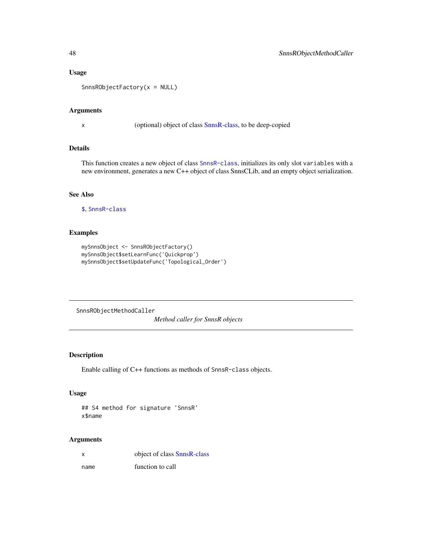# Usage

```
SnnsRObjectFactory(x = NULL)
```
# Arguments

x (optional) object of class [SnnsR-class,](#page-44-0) to be deep-copied

# Details

This function creates a new object of class [SnnsR-class](#page-44-0), initializes its only slot variables with a new environment, generates a new C++ object of class SnnsCLib, and an empty object serialization.

#### See Also

[\\$](#page-47-0), [SnnsR-class](#page-44-0)

# Examples

```
mySnnsObject <- SnnsRObjectFactory()
mySnnsObject$setLearnFunc('Quickprop')
mySnnsObject$setUpdateFunc('Topological_Order')
```
SnnsRObjectMethodCaller

*Method caller for SnnsR objects*

# <span id="page-47-0"></span>Description

Enable calling of C++ functions as methods of SnnsR-class objects.

#### Usage

## S4 method for signature 'SnnsR' x\$name

# Arguments

x object of class [SnnsR-class](#page-44-0)

name function to call

<span id="page-47-1"></span>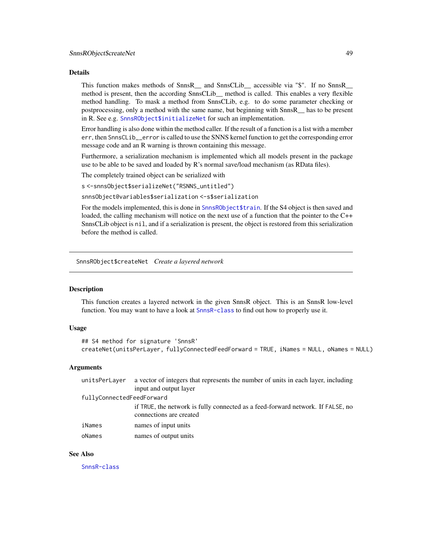#### <span id="page-48-0"></span>Details

This function makes methods of SnnsR\_\_ and SnnsCLib\_\_ accessible via "\$". If no SnnsR\_\_ method is present, then the according SnnsCLib\_\_ method is called. This enables a very flexible method handling. To mask a method from SnnsCLib, e.g. to do some parameter checking or postprocessing, only a method with the same name, but beginning with SnnsR\_\_ has to be present in R. See e.g. [SnnsRObject\\$initializeNet](#page-56-0) for such an implementation.

Error handling is also done within the method caller. If the result of a function is a list with a member err, then SnnsCLib\_\_error is called to use the SNNS kernel function to get the corresponding error message code and an R warning is thrown containing this message.

Furthermore, a serialization mechanism is implemented which all models present in the package use to be able to be saved and loaded by R's normal save/load mechanism (as RData files).

The completely trained object can be serialized with

s <-snnsObject\$serializeNet("RSNNS\_untitled")

snnsObject@variables\$serialization <-s\$serialization

For the models implemented, this is done in [SnnsRObject\\$train](#page-61-0). If the S4 object is then saved and loaded, the calling mechanism will notice on the next use of a function that the pointer to the C++ SnnsCLib object is nil, and if a serialization is present, the object is restored from this serialization before the method is called.

SnnsRObject\$createNet *Create a layered network*

# **Description**

This function creates a layered network in the given SnnsR object. This is an SnnsR low-level function. You may want to have a look at [SnnsR-class](#page-44-0) to find out how to properly use it.

#### Usage

```
## S4 method for signature 'SnnsR'
createNet(unitsPerLayer, fullyConnectedFeedForward = TRUE, iNames = NULL, oNames = NULL)
```
#### Arguments

| unitsPerLayer             | a vector of integers that represents the number of units in each layer, including<br>input and output layer |
|---------------------------|-------------------------------------------------------------------------------------------------------------|
| fullyConnectedFeedForward |                                                                                                             |
|                           | if TRUE, the network is fully connected as a feed-forward network. If FALSE, no<br>connections are created  |
| iNames                    | names of input units                                                                                        |
| oNames                    | names of output units                                                                                       |

#### See Also

[SnnsR-class](#page-44-0)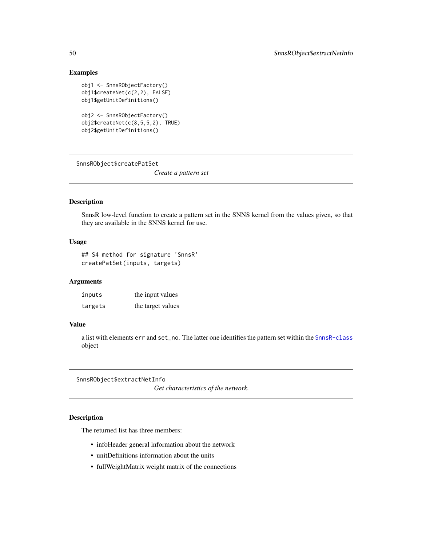# <span id="page-49-0"></span>Examples

```
obj1 <- SnnsRObjectFactory()
obj1$createNet(c(2,2), FALSE)
obj1$getUnitDefinitions()
obj2 <- SnnsRObjectFactory()
obj2$createNet(c(8,5,5,2), TRUE)
obj2$getUnitDefinitions()
```
SnnsRObject\$createPatSet

*Create a pattern set*

# Description

SnnsR low-level function to create a pattern set in the SNNS kernel from the values given, so that they are available in the SNNS kernel for use.

# Usage

## S4 method for signature 'SnnsR' createPatSet(inputs, targets)

#### Arguments

| inputs  | the input values  |
|---------|-------------------|
| targets | the target values |

# Value

a list with elements err and set\_no. The latter one identifies the pattern set within the [SnnsR-class](#page-44-0) object

SnnsRObject\$extractNetInfo

*Get characteristics of the network.*

# Description

The returned list has three members:

- infoHeader general information about the network
- unitDefinitions information about the units
- fullWeightMatrix weight matrix of the connections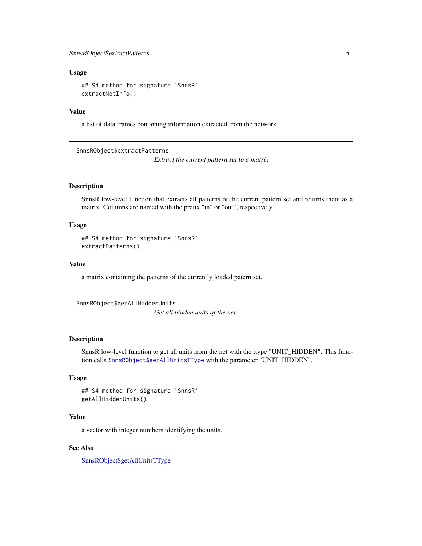#### <span id="page-50-2"></span>Usage

## S4 method for signature 'SnnsR' extractNetInfo()

# Value

a list of data frames containing information extracted from the network.

<span id="page-50-0"></span>SnnsRObject\$extractPatterns

*Extract the current pattern set to a matrix*

# Description

SnnsR low-level function that extracts all patterns of the current pattern set and returns them as a matrix. Columns are named with the prefix "in" or "out", respectively.

#### Usage

## S4 method for signature 'SnnsR' extractPatterns()

#### Value

a matrix containing the patterns of the currently loaded patern set.

```
SnnsRObject$getAllHiddenUnits
```
*Get all hidden units of the net*

# Description

SnnsR low-level function to get all units from the net with the ttype "UNIT\_HIDDEN". This function calls [SnnsRObject\\$getAllUnitsTType](#page-52-0) with the parameter "UNIT\_HIDDEN".

#### Usage

```
## S4 method for signature 'SnnsR'
getAllHiddenUnits()
```
# Value

a vector with integer numbers identifying the units.

# See Also

[SnnsRObject\\$getAllUnitsTType](#page-52-0)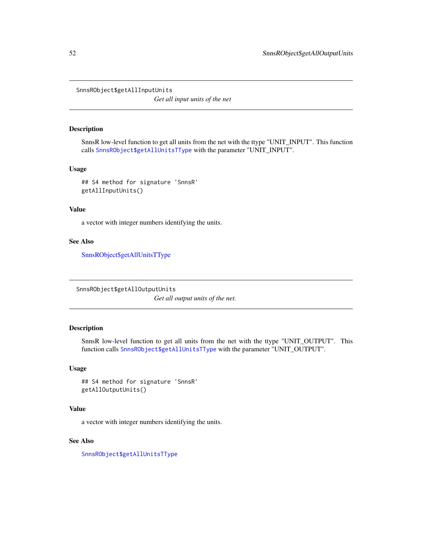<span id="page-51-2"></span><span id="page-51-1"></span>SnnsRObject\$getAllInputUnits

*Get all input units of the net*

#### Description

SnnsR low-level function to get all units from the net with the ttype "UNIT\_INPUT". This function calls [SnnsRObject\\$getAllUnitsTType](#page-52-0) with the parameter "UNIT\_INPUT".

#### Usage

## S4 method for signature 'SnnsR' getAllInputUnits()

# Value

a vector with integer numbers identifying the units.

#### See Also

[SnnsRObject\\$getAllUnitsTType](#page-52-0)

<span id="page-51-0"></span>SnnsRObject\$getAllOutputUnits *Get all output units of the net.*

# Description

SnnsR low-level function to get all units from the net with the ttype "UNIT\_OUTPUT". This function calls [SnnsRObject\\$getAllUnitsTType](#page-52-0) with the parameter "UNIT\_OUTPUT".

# Usage

```
## S4 method for signature 'SnnsR'
getAllOutputUnits()
```
# Value

a vector with integer numbers identifying the units.

# See Also

[SnnsRObject\\$getAllUnitsTType](#page-52-0)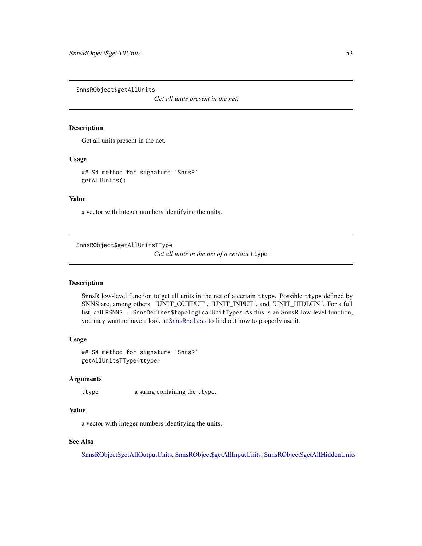<span id="page-52-1"></span>SnnsRObject\$getAllUnits

*Get all units present in the net.*

#### Description

Get all units present in the net.

#### Usage

## S4 method for signature 'SnnsR' getAllUnits()

# Value

a vector with integer numbers identifying the units.

<span id="page-52-0"></span>SnnsRObject\$getAllUnitsTType

*Get all units in the net of a certain* ttype*.*

#### Description

SnnsR low-level function to get all units in the net of a certain ttype. Possible ttype defined by SNNS are, among others: "UNIT\_OUTPUT", "UNIT\_INPUT", and "UNIT\_HIDDEN". For a full list, call RSNNS:::SnnsDefines\$topologicalUnitTypes As this is an SnnsR low-level function, you may want to have a look at [SnnsR-class](#page-44-0) to find out how to properly use it.

# Usage

## S4 method for signature 'SnnsR' getAllUnitsTType(ttype)

# Arguments

ttype a string containing the ttype.

# Value

a vector with integer numbers identifying the units.

# See Also

[SnnsRObject\\$getAllOutputUnits,](#page-51-0) [SnnsRObject\\$getAllInputUnits,](#page-51-1) [SnnsRObject\\$getAllHiddenUnits](#page-50-1)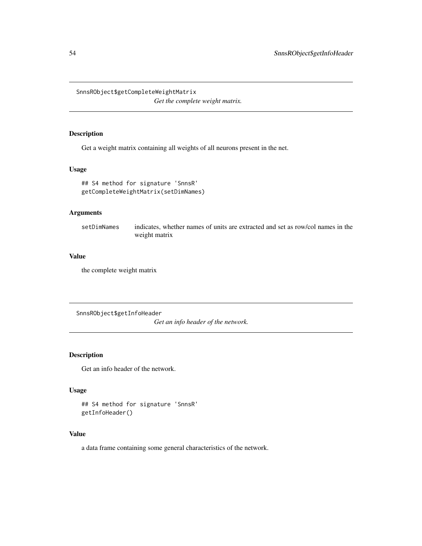<span id="page-53-1"></span><span id="page-53-0"></span>SnnsRObject\$getCompleteWeightMatrix

*Get the complete weight matrix.*

# Description

Get a weight matrix containing all weights of all neurons present in the net.

#### Usage

## S4 method for signature 'SnnsR' getCompleteWeightMatrix(setDimNames)

# Arguments

setDimNames indicates, whether names of units are extracted and set as row/col names in the weight matrix

#### Value

the complete weight matrix

SnnsRObject\$getInfoHeader

*Get an info header of the network.*

# Description

Get an info header of the network.

# Usage

```
## S4 method for signature 'SnnsR'
getInfoHeader()
```
# Value

a data frame containing some general characteristics of the network.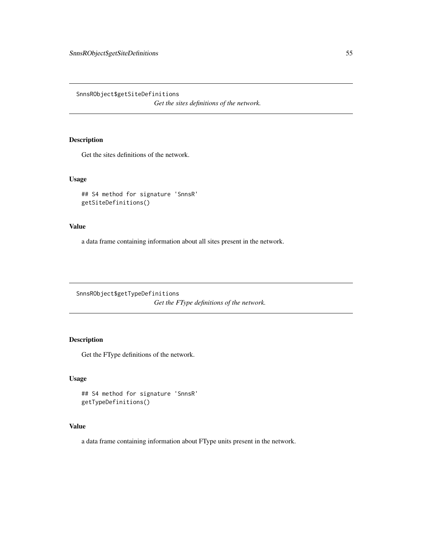<span id="page-54-0"></span>SnnsRObject\$getSiteDefinitions

*Get the sites definitions of the network.*

# Description

Get the sites definitions of the network.

# Usage

```
## S4 method for signature 'SnnsR'
getSiteDefinitions()
```
#### Value

a data frame containing information about all sites present in the network.

SnnsRObject\$getTypeDefinitions *Get the FType definitions of the network.*

# Description

Get the FType definitions of the network.

# Usage

```
## S4 method for signature 'SnnsR'
getTypeDefinitions()
```
# Value

a data frame containing information about FType units present in the network.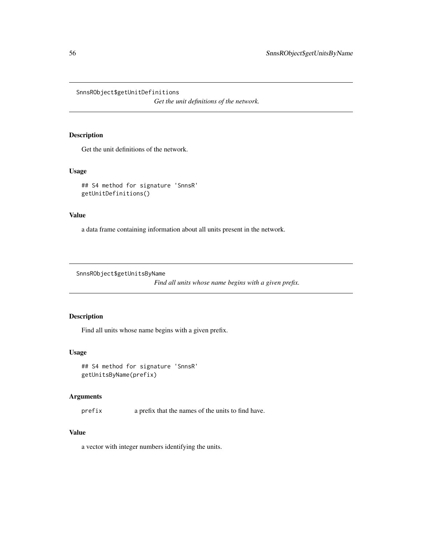<span id="page-55-0"></span>SnnsRObject\$getUnitDefinitions

*Get the unit definitions of the network.*

# Description

Get the unit definitions of the network.

# Usage

```
## S4 method for signature 'SnnsR'
getUnitDefinitions()
```
# Value

a data frame containing information about all units present in the network.

SnnsRObject\$getUnitsByName

*Find all units whose name begins with a given prefix.*

# Description

Find all units whose name begins with a given prefix.

# Usage

```
## S4 method for signature 'SnnsR'
getUnitsByName(prefix)
```
#### Arguments

prefix a prefix that the names of the units to find have.

# Value

a vector with integer numbers identifying the units.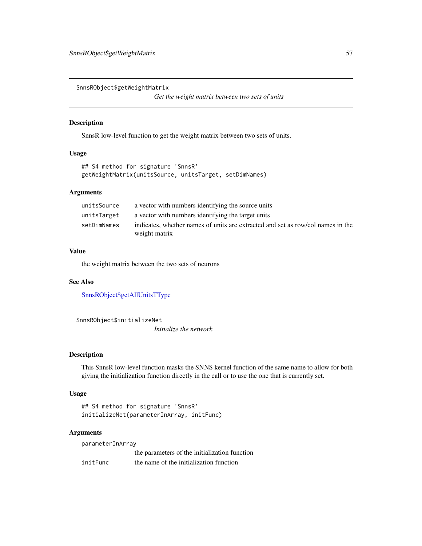<span id="page-56-1"></span>SnnsRObject\$getWeightMatrix

*Get the weight matrix between two sets of units*

#### Description

SnnsR low-level function to get the weight matrix between two sets of units.

#### Usage

```
## S4 method for signature 'SnnsR'
getWeightMatrix(unitsSource, unitsTarget, setDimNames)
```
#### Arguments

| unitsSource | a vector with numbers identifying the source units                                               |
|-------------|--------------------------------------------------------------------------------------------------|
| unitsTarget | a vector with numbers identifying the target units                                               |
| setDimNames | indicates, whether names of units are extracted and set as row/col names in the<br>weight matrix |

# Value

the weight matrix between the two sets of neurons

#### See Also

[SnnsRObject\\$getAllUnitsTType](#page-52-0)

<span id="page-56-0"></span>SnnsRObject\$initializeNet

*Initialize the network*

# Description

This SnnsR low-level function masks the SNNS kernel function of the same name to allow for both giving the initialization function directly in the call or to use the one that is currently set.

#### Usage

```
## S4 method for signature 'SnnsR'
initializeNet(parameterInArray, initFunc)
```
#### Arguments

parameterInArray

the parameters of the initialization function initFunc the name of the initialization function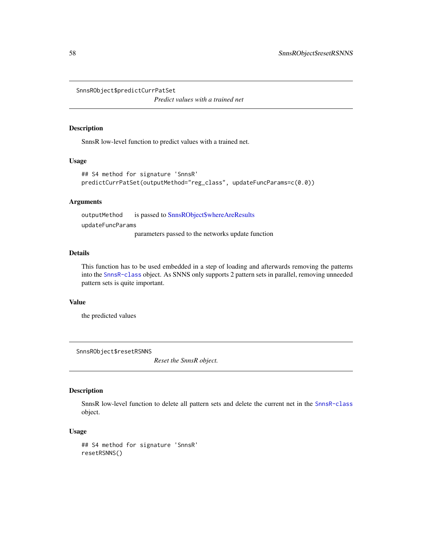SnnsRObject\$predictCurrPatSet

*Predict values with a trained net*

#### Description

SnnsR low-level function to predict values with a trained net.

#### Usage

```
## S4 method for signature 'SnnsR'
predictCurrPatSet(outputMethod="reg_class", updateFuncParams=c(0.0))
```
#### Arguments

outputMethod is passed to [SnnsRObject\\$whereAreResults](#page-63-1) updateFuncParams

parameters passed to the networks update function

# Details

This function has to be used embedded in a step of loading and afterwards removing the patterns into the [SnnsR-class](#page-44-0) object. As SNNS only supports 2 pattern sets in parallel, removing unneeded pattern sets is quite important.

#### Value

the predicted values

SnnsRObject\$resetRSNNS

*Reset the SnnsR object.*

# Description

SnnsR low-level function to delete all pattern sets and delete the current net in the [SnnsR-class](#page-44-0) object.

# Usage

```
## S4 method for signature 'SnnsR'
resetRSNNS()
```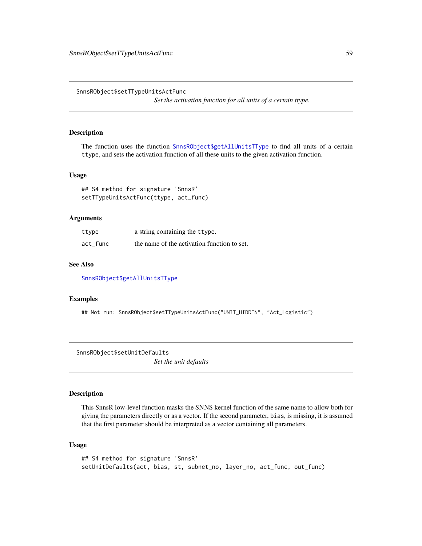SnnsRObject\$setTTypeUnitsActFunc

*Set the activation function for all units of a certain ttype.*

#### Description

The function uses the function [SnnsRObject\\$getAllUnitsTType](#page-52-0) to find all units of a certain ttype, and sets the activation function of all these units to the given activation function.

#### Usage

## S4 method for signature 'SnnsR' setTTypeUnitsActFunc(ttype, act\_func)

#### Arguments

| ttype    | a string containing the ttype.              |
|----------|---------------------------------------------|
| act func | the name of the activation function to set. |

#### See Also

[SnnsRObject\\$getAllUnitsTType](#page-52-0)

# Examples

## Not run: SnnsRObject\$setTTypeUnitsActFunc("UNIT\_HIDDEN", "Act\_Logistic")

SnnsRObject\$setUnitDefaults *Set the unit defaults*

# Description

This SnnsR low-level function masks the SNNS kernel function of the same name to allow both for giving the parameters directly or as a vector. If the second parameter, bias, is missing, it is assumed that the first parameter should be interpreted as a vector containing all parameters.

#### Usage

```
## S4 method for signature 'SnnsR'
setUnitDefaults(act, bias, st, subnet_no, layer_no, act_func, out_func)
```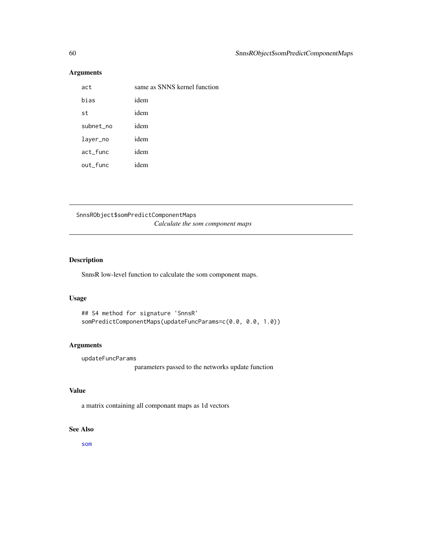# Arguments

| act       | same as SNNS kernel function |
|-----------|------------------------------|
| bias      | idem                         |
| st        | idem                         |
| subnet_no | idem                         |
| layer_no  | idem                         |
| act_func  | idem                         |
| out_func  | idem                         |

SnnsRObject\$somPredictComponentMaps *Calculate the som component maps*

# Description

SnnsR low-level function to calculate the som component maps.

#### Usage

```
## S4 method for signature 'SnnsR'
somPredictComponentMaps(updateFuncParams=c(0.0, 0.0, 1.0))
```
# Arguments

updateFuncParams

parameters passed to the networks update function

# Value

a matrix containing all componant maps as 1d vectors

# See Also

[som](#page-63-0)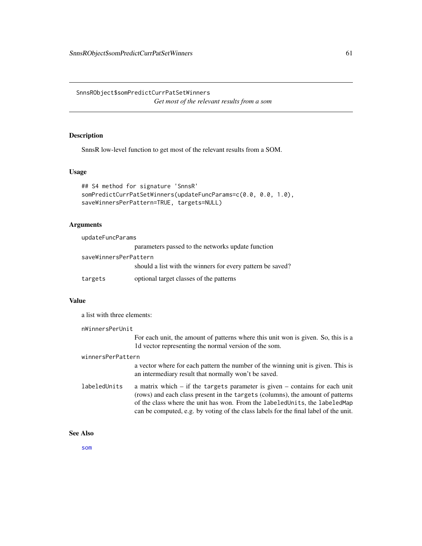SnnsRObject\$somPredictCurrPatSetWinners *Get most of the relevant results from a som*

# Description

SnnsR low-level function to get most of the relevant results from a SOM.

#### Usage

```
## S4 method for signature 'SnnsR'
somPredictCurrPatSetWinners(updateFuncParams=c(0.0, 0.0, 1.0),
saveWinnersPerPattern=TRUE, targets=NULL)
```
#### **Arguments**

| updateFuncParams      |                                                            |  |
|-----------------------|------------------------------------------------------------|--|
|                       | parameters passed to the networks update function          |  |
| saveWinnersPerPattern |                                                            |  |
|                       | should a list with the winners for every pattern be saved? |  |
| targets               | optional target classes of the patterns                    |  |

# Value

a list with three elements:

nWinnersPerUnit

For each unit, the amount of patterns where this unit won is given. So, this is a 1d vector representing the normal version of the som.

#### winnersPerPattern

a vector where for each pattern the number of the winning unit is given. This is an intermediary result that normally won't be saved.

labeledUnits a matrix which – if the targets parameter is given – contains for each unit (rows) and each class present in the targets (columns), the amount of patterns of the class where the unit has won. From the labeledUnits, the labeledMap can be computed, e.g. by voting of the class labels for the final label of the unit.

#### See Also

[som](#page-63-0)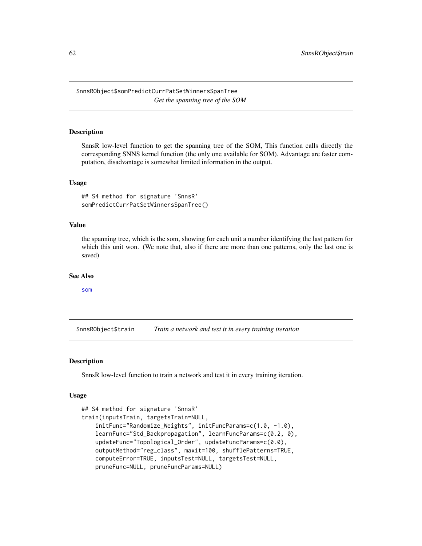SnnsRObject\$somPredictCurrPatSetWinnersSpanTree *Get the spanning tree of the SOM*

#### Description

SnnsR low-level function to get the spanning tree of the SOM, This function calls directly the corresponding SNNS kernel function (the only one available for SOM). Advantage are faster computation, disadvantage is somewhat limited information in the output.

#### Usage

## S4 method for signature 'SnnsR' somPredictCurrPatSetWinnersSpanTree()

#### Value

the spanning tree, which is the som, showing for each unit a number identifying the last pattern for which this unit won. (We note that, also if there are more than one patterns, only the last one is saved)

#### See Also

[som](#page-63-0)

<span id="page-61-0"></span>SnnsRObject\$train *Train a network and test it in every training iteration*

#### Description

SnnsR low-level function to train a network and test it in every training iteration.

#### Usage

```
## S4 method for signature 'SnnsR'
train(inputsTrain, targetsTrain=NULL,
    initFunc="Randomize_Weights", initFuncParams=c(1.0, -1.0),
    learnFunc="Std_Backpropagation", learnFuncParams=c(0.2, 0),
    updateFunc="Topological_Order", updateFuncParams=c(0.0),
   outputMethod="reg_class", maxit=100, shufflePatterns=TRUE,
    computeError=TRUE, inputsTest=NULL, targetsTest=NULL,
    pruneFunc=NULL, pruneFuncParams=NULL)
```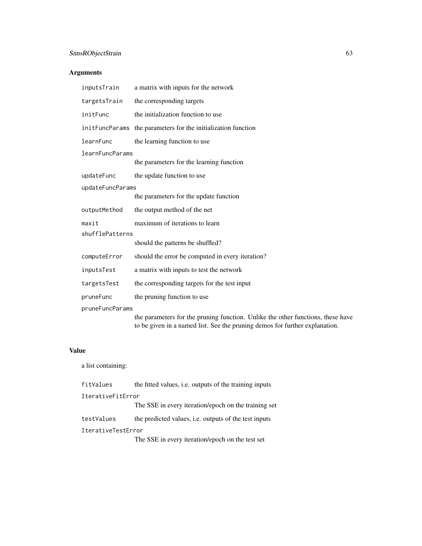# SnnsRObject\$train 63

# Arguments

| inputsTrain            | a matrix with inputs for the network                                                                                                                           |  |
|------------------------|----------------------------------------------------------------------------------------------------------------------------------------------------------------|--|
| targetsTrain           | the corresponding targets                                                                                                                                      |  |
| initFunc               | the initialization function to use                                                                                                                             |  |
|                        | init FuncParams the parameters for the initialization function                                                                                                 |  |
| learnFunc              | the learning function to use                                                                                                                                   |  |
| <b>learnFuncParams</b> |                                                                                                                                                                |  |
|                        | the parameters for the learning function                                                                                                                       |  |
| updateFunc             | the update function to use                                                                                                                                     |  |
| updateFuncParams       |                                                                                                                                                                |  |
|                        | the parameters for the update function                                                                                                                         |  |
| outputMethod           | the output method of the net                                                                                                                                   |  |
| maxit                  | maximum of iterations to learn                                                                                                                                 |  |
| shufflePatterns        |                                                                                                                                                                |  |
|                        | should the patterns be shuffled?                                                                                                                               |  |
| computeError           | should the error be computed in every iteration?                                                                                                               |  |
| inputsTest             | a matrix with inputs to test the network                                                                                                                       |  |
| targetsTest            | the corresponding targets for the test input                                                                                                                   |  |
| pruneFunc              | the pruning function to use                                                                                                                                    |  |
| pruneFuncParams        |                                                                                                                                                                |  |
|                        | the parameters for the pruning function. Unlike the other functions, these have<br>to be given in a named list. See the pruning demos for further explanation. |  |

# Value

a list containing:

| fitValues          | the fitted values, i.e. outputs of the training inputs       |
|--------------------|--------------------------------------------------------------|
| IterativeFitError  |                                                              |
|                    | The SSE in every iteration/epoch on the training set         |
| testValues         | the predicted values, <i>i.e.</i> outputs of the test inputs |
| IterativeTestError |                                                              |
|                    | The SSE in every iteration/epoch on the test set             |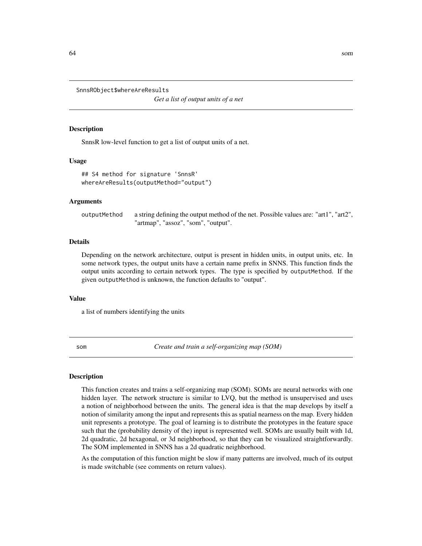<span id="page-63-1"></span>SnnsRObject\$whereAreResults

*Get a list of output units of a net*

#### Description

SnnsR low-level function to get a list of output units of a net.

#### Usage

## S4 method for signature 'SnnsR' whereAreResults(outputMethod="output")

#### Arguments

outputMethod a string defining the output method of the net. Possible values are: "art1", "art2", "artmap", "assoz", "som", "output".

#### Details

Depending on the network architecture, output is present in hidden units, in output units, etc. In some network types, the output units have a certain name prefix in SNNS. This function finds the output units according to certain network types. The type is specified by outputMethod. If the given outputMethod is unknown, the function defaults to "output".

#### Value

a list of numbers identifying the units

<span id="page-63-0"></span>

som *Create and train a self-organizing map (SOM)*

#### **Description**

This function creates and trains a self-organizing map (SOM). SOMs are neural networks with one hidden layer. The network structure is similar to LVQ, but the method is unsupervised and uses a notion of neighborhood between the units. The general idea is that the map develops by itself a notion of similarity among the input and represents this as spatial nearness on the map. Every hidden unit represents a prototype. The goal of learning is to distribute the prototypes in the feature space such that the (probability density of the) input is represented well. SOMs are usually built with 1d, 2d quadratic, 2d hexagonal, or 3d neighborhood, so that they can be visualized straightforwardly. The SOM implemented in SNNS has a 2d quadratic neighborhood.

As the computation of this function might be slow if many patterns are involved, much of its output is made switchable (see comments on return values).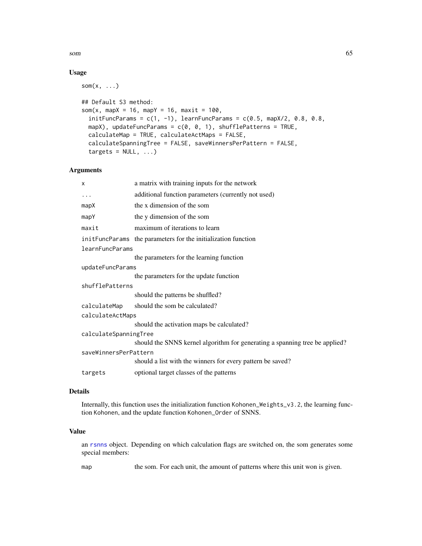som 65

# Usage

 $som(x, \ldots)$ 

```
## Default S3 method:
som(x, mapX = 16, mapY = 16, maxit = 100,
  initFuncParams = c(1, -1), learnFuncParams = c(0.5, \text{mapX}/2, 0.8, 0.8,mapX), updateFuncParams = c(0, 0, 1), shufflePatterns = TRUE,
  calculateMap = TRUE, calculateActMaps = FALSE,
  calculateSpanningTree = FALSE, saveWinnersPerPattern = FALSE,
  targets = NULL, ...)
```
# Arguments

| x                     | a matrix with training inputs for the network                               |  |
|-----------------------|-----------------------------------------------------------------------------|--|
| $\ddots$              | additional function parameters (currently not used)                         |  |
| mapX                  | the x dimension of the som                                                  |  |
| mapY                  | the y dimension of the som                                                  |  |
| maxit                 | maximum of iterations to learn                                              |  |
|                       | initFuncParams the parameters for the initialization function               |  |
| learnFuncParams       |                                                                             |  |
|                       | the parameters for the learning function                                    |  |
| updateFuncParams      |                                                                             |  |
|                       | the parameters for the update function                                      |  |
| shufflePatterns       |                                                                             |  |
|                       | should the patterns be shuffled?                                            |  |
| calculateMap          | should the som be calculated?                                               |  |
| calculateActMaps      |                                                                             |  |
|                       | should the activation maps be calculated?                                   |  |
| calculateSpanningTree |                                                                             |  |
|                       | should the SNNS kernel algorithm for generating a spanning tree be applied? |  |
| saveWinnersPerPattern |                                                                             |  |
|                       | should a list with the winners for every pattern be saved?                  |  |
| targets               | optional target classes of the patterns                                     |  |
|                       |                                                                             |  |

# Details

Internally, this function uses the initialization function Kohonen\_Weights\_v3.2, the learning function Kohonen, and the update function Kohonen\_Order of SNNS.

# Value

an [rsnns](#page-42-0) object. Depending on which calculation flags are switched on, the som generates some special members:

map the som. For each unit, the amount of patterns where this unit won is given.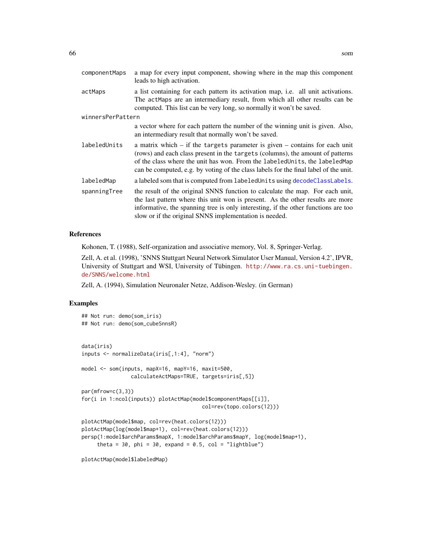<span id="page-65-0"></span>

| componentMaps     | a map for every input component, showing where in the map this component<br>leads to high activation.                                                                                                                                                                                                                                   |  |
|-------------------|-----------------------------------------------------------------------------------------------------------------------------------------------------------------------------------------------------------------------------------------------------------------------------------------------------------------------------------------|--|
| actMaps           | a list containing for each pattern its activation map, i.e. all unit activations.<br>The actMaps are an intermediary result, from which all other results can be<br>computed. This list can be very long, so normally it won't be saved.                                                                                                |  |
| winnersPerPattern |                                                                                                                                                                                                                                                                                                                                         |  |
|                   | a vector where for each pattern the number of the winning unit is given. Also,<br>an intermediary result that normally won't be saved.                                                                                                                                                                                                  |  |
| labeledUnits      | a matrix which $-$ if the targets parameter is given $-$ contains for each unit<br>(rows) and each class present in the targets (columns), the amount of patterns<br>of the class where the unit has won. From the labeledUnits, the labeledMap<br>can be computed, e.g. by voting of the class labels for the final label of the unit. |  |
| labeledMap        | a labeled som that is computed from labeled Units using decode Class Labels.                                                                                                                                                                                                                                                            |  |
| spanningTree      | the result of the original SNNS function to calculate the map. For each unit,<br>the last pattern where this unit won is present. As the other results are more<br>informative, the spanning tree is only interesting, if the other functions are too<br>slow or if the original SNNS implementation is needed.                         |  |

#### References

Kohonen, T. (1988), Self-organization and associative memory, Vol. 8, Springer-Verlag.

Zell, A. et al. (1998), 'SNNS Stuttgart Neural Network Simulator User Manual, Version 4.2', IPVR, University of Stuttgart and WSI, University of Tübingen. [http://www.ra.cs.uni-tuebingen.](http://www.ra.cs.uni-tuebingen.de/SNNS/welcome.html) [de/SNNS/welcome.html](http://www.ra.cs.uni-tuebingen.de/SNNS/welcome.html)

Zell, A. (1994), Simulation Neuronaler Netze, Addison-Wesley. (in German)

#### Examples

```
## Not run: demo(som_iris)
## Not run: demo(som_cubeSnnsR)
data(iris)
inputs <- normalizeData(iris[,1:4], "norm")
model <- som(inputs, mapX=16, mapY=16, maxit=500,
                calculateActMaps=TRUE, targets=iris[,5])
par(mfrow=c(3,3))
for(i in 1:ncol(inputs)) plotActMap(model$componentMaps[[i]],
                                       col=rev(topo.colors(12)))
plotActMap(model$map, col=rev(heat.colors(12)))
plotActMap(log(model$map+1), col=rev(heat.colors(12)))
persp(1:model$archParams$mapX, 1:model$archParams$mapY, log(model$map+1),
     theta = 30, phi = 30, expand = 0.5, col = "lightblue")
```
plotActMap(model\$labeledMap)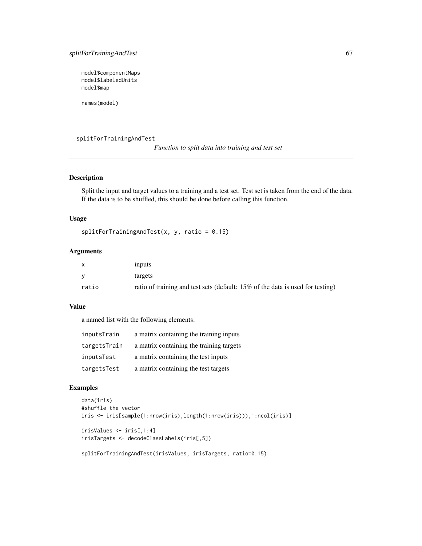# splitForTrainingAndTest 67

model\$componentMaps model\$labeledUnits model\$map

names(model)

splitForTrainingAndTest

*Function to split data into training and test set*

# Description

Split the input and target values to a training and a test set. Test set is taken from the end of the data. If the data is to be shuffled, this should be done before calling this function.

#### Usage

 $splitFor TrainingAndTest(x, y, ratio = 0.15)$ 

# Arguments

|       | inputs                                                                         |
|-------|--------------------------------------------------------------------------------|
|       | targets                                                                        |
| ratio | ratio of training and test sets (default: 15% of the data is used for testing) |

# Value

a named list with the following elements:

| inputsTrain  | a matrix containing the training inputs  |
|--------------|------------------------------------------|
| targetsTrain | a matrix containing the training targets |
| inputsTest   | a matrix containing the test inputs      |
| targetsTest  | a matrix containing the test targets     |

#### Examples

```
data(iris)
#shuffle the vector
iris <- iris[sample(1:nrow(iris),length(1:nrow(iris))),1:ncol(iris)]
irisValues <- iris[,1:4]
irisTargets <- decodeClassLabels(iris[,5])
```
splitForTrainingAndTest(irisValues, irisTargets, ratio=0.15)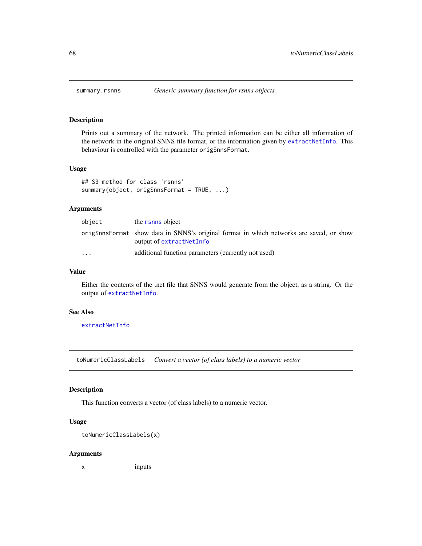<span id="page-67-0"></span>

#### Description

Prints out a summary of the network. The printed information can be either all information of the network in the original SNNS file format, or the information given by [extractNetInfo](#page-23-0). This behaviour is controlled with the parameter origSnnsFormat.

## Usage

```
## S3 method for class 'rsnns'
summary(object, origSnnsFormat = TRUE, ...)
```
# Arguments

| object    | the rsnns object                                                                                                    |
|-----------|---------------------------------------------------------------------------------------------------------------------|
|           | origSnnsFormat show data in SNNS's original format in which networks are saved, or show<br>output of extractNetInfo |
| $\ddotsc$ | additional function parameters (currently not used)                                                                 |

# Value

Either the contents of the .net file that SNNS would generate from the object, as a string. Or the output of [extractNetInfo](#page-23-0).

# See Also

[extractNetInfo](#page-23-0)

toNumericClassLabels *Convert a vector (of class labels) to a numeric vector*

#### Description

This function converts a vector (of class labels) to a numeric vector.

# Usage

```
toNumericClassLabels(x)
```
#### Arguments

x inputs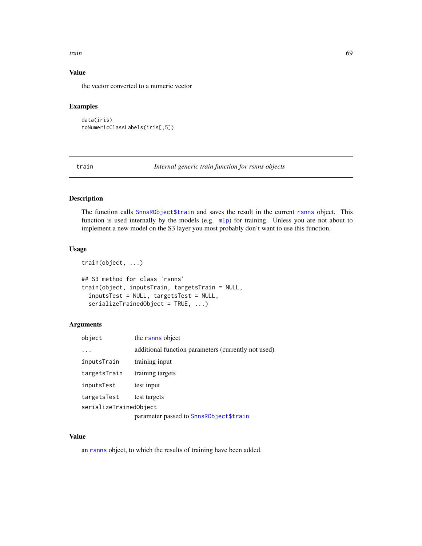#### train 69 and the contract of the contract of the contract of the contract of the contract of the contract of the contract of the contract of the contract of the contract of the contract of the contract of the contract of t

# Value

the vector converted to a numeric vector

# Examples

```
data(iris)
toNumericClassLabels(iris[,5])
```
<span id="page-68-0"></span>train *Internal generic train function for rsnns objects*

# Description

The function calls [SnnsRObject\\$train](#page-61-0) and saves the result in the current [rsnns](#page-42-0) object. This function is used internally by the models (e.g.  $mlp$ ) for training. Unless you are not about to implement a new model on the S3 layer you most probably don't want to use this function.

# Usage

```
train(object, ...)
## S3 method for class 'rsnns'
train(object, inputsTrain, targetsTrain = NULL,
  inputsTest = NULL, targetsTest = NULL,
  serializeTrainedObject = TRUE, ...)
```
# Arguments

| object                 | the rsnns object                                    |  |
|------------------------|-----------------------------------------------------|--|
|                        | additional function parameters (currently not used) |  |
| inputsTrain            | training input                                      |  |
| targetsTrain           | training targets                                    |  |
| inputsTest             | test input                                          |  |
| targetsTest            | test targets                                        |  |
| serializeTrainedObject |                                                     |  |
|                        | parameter passed to SnnsRObject\$train              |  |

# Value

an [rsnns](#page-42-0) object, to which the results of training have been added.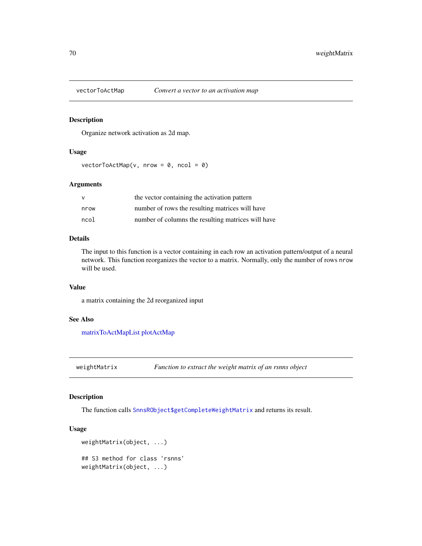#### Description

Organize network activation as 2d map.

# Usage

 $vectorToActMap(v, nrow = 0, ncol = 0)$ 

#### Arguments

| $\vee$ | the vector containing the activation pattern       |
|--------|----------------------------------------------------|
| nrow   | number of rows the resulting matrices will have    |
| ncol   | number of columns the resulting matrices will have |

# Details

The input to this function is a vector containing in each row an activation pattern/output of a neural network. This function reorganizes the vector to a matrix. Normally, only the number of rows nrow will be used.

#### Value

a matrix containing the 2d reorganized input

#### See Also

[matrixToActMapList](#page-28-0) [plotActMap](#page-34-0)

weightMatrix *Function to extract the weight matrix of an rsnns object*

# Description

The function calls [SnnsRObject\\$getCompleteWeightMatrix](#page-53-0) and returns its result.

# Usage

```
weightMatrix(object, ...)
## S3 method for class 'rsnns'
weightMatrix(object, ...)
```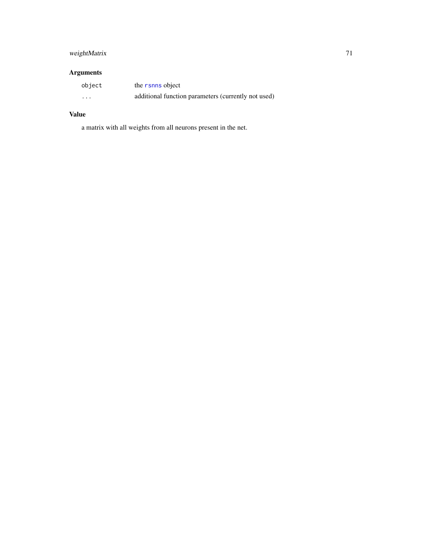# weightMatrix 71

# Arguments

| object   | the rsnns object                                    |
|----------|-----------------------------------------------------|
| $\cdots$ | additional function parameters (currently not used) |

# Value

a matrix with all weights from all neurons present in the net.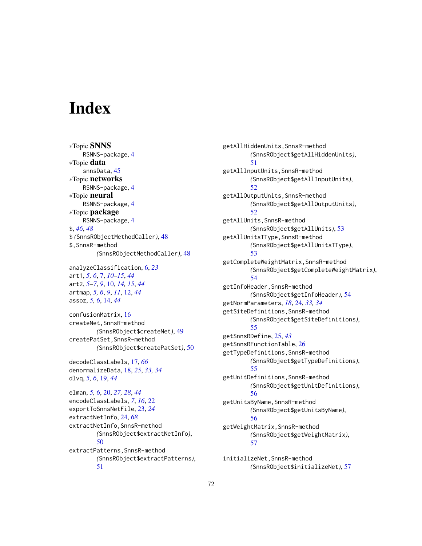# **Index**

∗Topic SNNS RSNNS-package, [4](#page-3-0) ∗Topic data snnsData, [45](#page-44-1) ∗Topic networks RSNNS-package, [4](#page-3-0) ∗Topic neural RSNNS-package, [4](#page-3-0) ∗Topic package RSNNS-package, [4](#page-3-0) \$, *[46](#page-45-0)*, *[48](#page-47-1)* \$ *(*SnnsRObjectMethodCaller*)*, [48](#page-47-1) \$,SnnsR-method *(*SnnsRObjectMethodCaller*)*, [48](#page-47-1)

analyzeClassification, [6,](#page-5-0) *[23](#page-22-0)* art1, *[5,](#page-4-0) [6](#page-5-0)*, [7,](#page-6-1) *[10](#page-9-1)[–15](#page-14-0)*, *[44](#page-43-0)* art2, *[5](#page-4-0)[–7](#page-6-1)*, *[9](#page-8-0)*, [10,](#page-9-1) *[14,](#page-13-1) [15](#page-14-0)*, *[44](#page-43-0)* artmap, *[5,](#page-4-0) [6](#page-5-0)*, *[9](#page-8-0)*, *[11](#page-10-0)*, [12,](#page-11-1) *[44](#page-43-0)* assoz, *[5,](#page-4-0) [6](#page-5-0)*, [14,](#page-13-1) *[44](#page-43-0)*

confusionMatrix, [16](#page-15-0) createNet,SnnsR-method *(*SnnsRObject\$createNet*)*, [49](#page-48-0) createPatSet,SnnsR-method *(*SnnsRObject\$createPatSet*)*, [50](#page-49-0)

decodeClassLabels, [17,](#page-16-1) *[66](#page-65-0)* denormalizeData, [18,](#page-17-0) *[25](#page-24-1)*, *[33,](#page-32-0) [34](#page-33-0)* dlvq, *[5,](#page-4-0) [6](#page-5-0)*, [19,](#page-18-1) *[44](#page-43-0)*

elman, *[5,](#page-4-0) [6](#page-5-0)*, [20,](#page-19-1) *[27,](#page-26-1) [28](#page-27-0)*, *[44](#page-43-0)* encodeClassLabels, *[7](#page-6-1)*, *[16](#page-15-0)*, [22](#page-21-0) exportToSnnsNetFile, [23,](#page-22-0) *[24](#page-23-1)* extractNetInfo, [24,](#page-23-1) *[68](#page-67-0)* extractNetInfo,SnnsR-method *(*SnnsRObject\$extractNetInfo*)*, [50](#page-49-0) extractPatterns,SnnsR-method *(*SnnsRObject\$extractPatterns*)*, [51](#page-50-2)

getAllHiddenUnits,SnnsR-method *(*SnnsRObject\$getAllHiddenUnits*)*, [51](#page-50-2) getAllInputUnits,SnnsR-method *(*SnnsRObject\$getAllInputUnits*)*, [52](#page-51-2) getAllOutputUnits,SnnsR-method *(*SnnsRObject\$getAllOutputUnits*)*, [52](#page-51-2) getAllUnits,SnnsR-method *(*SnnsRObject\$getAllUnits*)*, [53](#page-52-1) getAllUnitsTType,SnnsR-method *(*SnnsRObject\$getAllUnitsTType*)*, [53](#page-52-1) getCompleteWeightMatrix,SnnsR-method *(*SnnsRObject\$getCompleteWeightMatrix*)*, [54](#page-53-1) getInfoHeader,SnnsR-method *(*SnnsRObject\$getInfoHeader*)*, [54](#page-53-1) getNormParameters, *[18](#page-17-0)*, [24,](#page-23-1) *[33,](#page-32-0) [34](#page-33-0)* getSiteDefinitions,SnnsR-method *(*SnnsRObject\$getSiteDefinitions*)*, [55](#page-54-0) getSnnsRDefine, [25,](#page-24-1) *[43](#page-42-1)* getSnnsRFunctionTable, [26](#page-25-0) getTypeDefinitions,SnnsR-method *(*SnnsRObject\$getTypeDefinitions*)*, [55](#page-54-0) getUnitDefinitions,SnnsR-method *(*SnnsRObject\$getUnitDefinitions*)*, [56](#page-55-0) getUnitsByName,SnnsR-method *(*SnnsRObject\$getUnitsByName*)*, [56](#page-55-0) getWeightMatrix,SnnsR-method *(*SnnsRObject\$getWeightMatrix*)*, [57](#page-56-1)

initializeNet,SnnsR-method *(*SnnsRObject\$initializeNet*)*, [57](#page-56-1)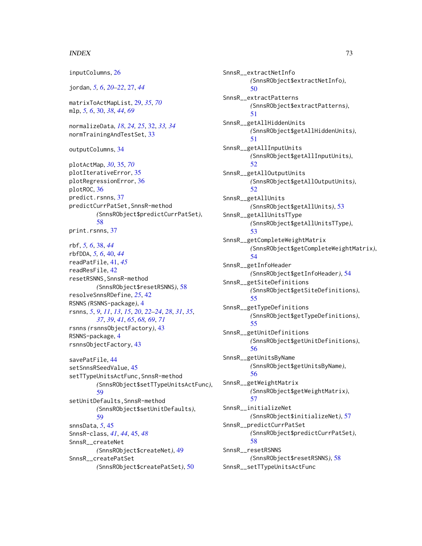## $I<sub>N</sub>$   $I<sub>3</sub>$   $I<sub>3</sub>$   $I<sub>4</sub>$   $I<sub>5</sub>$   $I<sub>6</sub>$   $I<sub>7</sub>$   $I<sub>8</sub>$   $I<sub>9</sub>$   $I<sub>9</sub>$   $I<sub>9</sub>$   $I<sub>9</sub>$   $I<sub>9</sub>$   $I<sub>9</sub>$   $I<sub>9</sub>$   $I<sub>9</sub>$   $I<sub>9</sub>$   $I<sub>9</sub>$   $I<sub>9</sub>$   $I<sub>9</sub>$   $I$

inputColumns, [26](#page-25-0)

jordan, *[5,](#page-4-0) [6](#page-5-0)*, *[20](#page-19-0)[–22](#page-21-0)*, [27,](#page-26-0) *[44](#page-43-0)* matrixToActMapList, [29,](#page-28-0) *[35](#page-34-0)*, *[70](#page-69-0)* mlp, *[5,](#page-4-0) [6](#page-5-0)*, [30,](#page-29-0) *[38](#page-37-0)*, *[44](#page-43-0)*, *[69](#page-68-0)* normalizeData, *[18](#page-17-0)*, *[24,](#page-23-0) [25](#page-24-0)*, [32,](#page-31-0) *[33,](#page-32-0) [34](#page-33-0)* normTrainingAndTestSet, [33](#page-32-0) outputColumns, [34](#page-33-0) plotActMap, *[30](#page-29-0)*, [35,](#page-34-0) *[70](#page-69-0)* plotIterativeError, [35](#page-34-0) plotRegressionError, [36](#page-35-0) plotROC, [36](#page-35-0) predict.rsnns, [37](#page-36-0) predictCurrPatSet,SnnsR-method *(*SnnsRObject\$predictCurrPatSet*)*, [58](#page-57-0) print.rsnns, [37](#page-36-0) rbf, *[5,](#page-4-0) [6](#page-5-0)*, [38,](#page-37-0) *[44](#page-43-0)* rbfDDA, *[5,](#page-4-0) [6](#page-5-0)*, [40,](#page-39-0) *[44](#page-43-0)* readPatFile, [41,](#page-40-0) *[45](#page-44-0)* readResFile, [42](#page-41-0) resetRSNNS,SnnsR-method *(*SnnsRObject\$resetRSNNS*)*, [58](#page-57-0) resolveSnnsRDefine, *[25](#page-24-0)*, [42](#page-41-0) RSNNS *(*RSNNS-package*)*, [4](#page-3-0) rsnns, *[5](#page-4-0)*, *[9](#page-8-0)*, *[11](#page-10-0)*, *[13](#page-12-0)*, *[15](#page-14-0)*, *[20](#page-19-0)*, *[22–](#page-21-0)[24](#page-23-0)*, *[28](#page-27-0)*, *[31](#page-30-0)*, *[35](#page-34-0)*, *[37](#page-36-0)*, *[39](#page-38-0)*, *[41](#page-40-0)*, *[65](#page-64-0)*, *[68,](#page-67-0) [69](#page-68-0)*, *[71](#page-70-0)* rsnns *(*rsnnsObjectFactory*)*, [43](#page-42-0) RSNNS-package, [4](#page-3-0) rsnnsObjectFactory, [43](#page-42-0) savePatFile, [44](#page-43-0) setSnnsRSeedValue, [45](#page-44-0) setTTypeUnitsActFunc,SnnsR-method *(*SnnsRObject\$setTTypeUnitsActFunc*)*, [59](#page-58-0) setUnitDefaults,SnnsR-method *(*SnnsRObject\$setUnitDefaults*)*, [59](#page-58-0) snnsData, *[5](#page-4-0)*, [45](#page-44-0) SnnsR-class, *[41](#page-40-0)*, *[44](#page-43-0)*, [45,](#page-44-0) *[48](#page-47-0)* SnnsR\_\_createNet *(*SnnsRObject\$createNet*)*, [49](#page-48-0) SnnsR\_\_createPatSet *(*SnnsRObject\$createPatSet*)*, [50](#page-49-0)

SnnsR\_\_extractNetInfo *(*SnnsRObject\$extractNetInfo*)*, [50](#page-49-0) SnnsR\_\_extractPatterns *(*SnnsRObject\$extractPatterns*)*, [51](#page-50-0) SnnsR\_\_getAllHiddenUnits *(*SnnsRObject\$getAllHiddenUnits*)*, [51](#page-50-0) SnnsR\_\_getAllInputUnits *(*SnnsRObject\$getAllInputUnits*)*, [52](#page-51-0) SnnsR\_\_getAllOutputUnits *(*SnnsRObject\$getAllOutputUnits*)*, [52](#page-51-0) SnnsR\_\_getAllUnits *(*SnnsRObject\$getAllUnits*)*, [53](#page-52-0) SnnsR\_\_getAllUnitsTType *(*SnnsRObject\$getAllUnitsTType*)*, [53](#page-52-0) SnnsR\_\_getCompleteWeightMatrix *(*SnnsRObject\$getCompleteWeightMatrix*)*, [54](#page-53-0) SnnsR\_\_getInfoHeader *(*SnnsRObject\$getInfoHeader*)*, [54](#page-53-0) SnnsR\_\_getSiteDefinitions *(*SnnsRObject\$getSiteDefinitions*)*, [55](#page-54-0) SnnsR\_\_getTypeDefinitions *(*SnnsRObject\$getTypeDefinitions*)*, [55](#page-54-0) SnnsR\_\_getUnitDefinitions *(*SnnsRObject\$getUnitDefinitions*)*, [56](#page-55-0) SnnsR\_\_getUnitsByName *(*SnnsRObject\$getUnitsByName*)*, [56](#page-55-0) SnnsR\_\_getWeightMatrix *(*SnnsRObject\$getWeightMatrix*)*, [57](#page-56-0) SnnsR\_\_initializeNet *(*SnnsRObject\$initializeNet*)*, [57](#page-56-0) SnnsR\_\_predictCurrPatSet *(*SnnsRObject\$predictCurrPatSet*)*, [58](#page-57-0) SnnsR\_\_resetRSNNS *(*SnnsRObject\$resetRSNNS*)*, [58](#page-57-0) SnnsR\_\_setTTypeUnitsActFunc